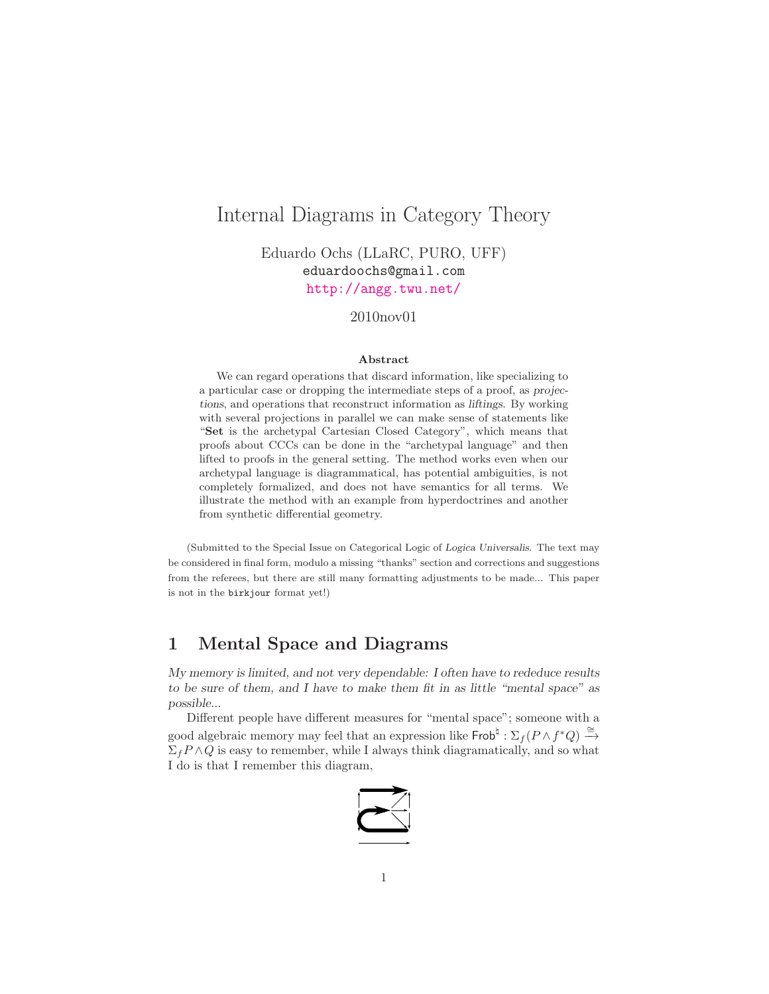# Internal Diagrams in Category Theory

Eduardo Ochs (LLaRC, PURO, UFF) eduardoochs@gmail.com <http://angg.twu.net/>

#### 2010nov01

#### Abstract

We can regard operations that discard information, like specializing to a particular case or dropping the intermediate steps of a proof, as projections, and operations that reconstruct information as liftings. By working with several projections in parallel we can make sense of statements like "Set is the archetypal Cartesian Closed Category", which means that proofs about CCCs can be done in the "archetypal language" and then lifted to proofs in the general setting. The method works even when our archetypal language is diagrammatical, has potential ambiguities, is not completely formalized, and does not have semantics for all terms. We illustrate the method with an example from hyperdoctrines and another from synthetic differential geometry.

(Submitted to the Special Issue on Categorical Logic of Logica Universalis. The text may be considered in final form, modulo a missing "thanks" section and corrections and suggestions from the referees, but there are still many formatting adjustments to be made... This paper is not in the birkjour format yet!)

### 1 Mental Space and Diagrams

*My memory is limited, and not very dependable: I often have to rededuce results to be sure of them, and I have to make them fit in as little "mental space" as possible...*

Different people have different measures for "mental space"; someone with a good algebraic memory may feel that an expression like  $\mathsf{Frob}^\natural : \Sigma_f(P \wedge f^*Q) \xrightarrow{\cong}$  $\Sigma_f P \wedge Q$  is easy to remember, while I always think diagramatically, and so what I do is that I remember this diagram,

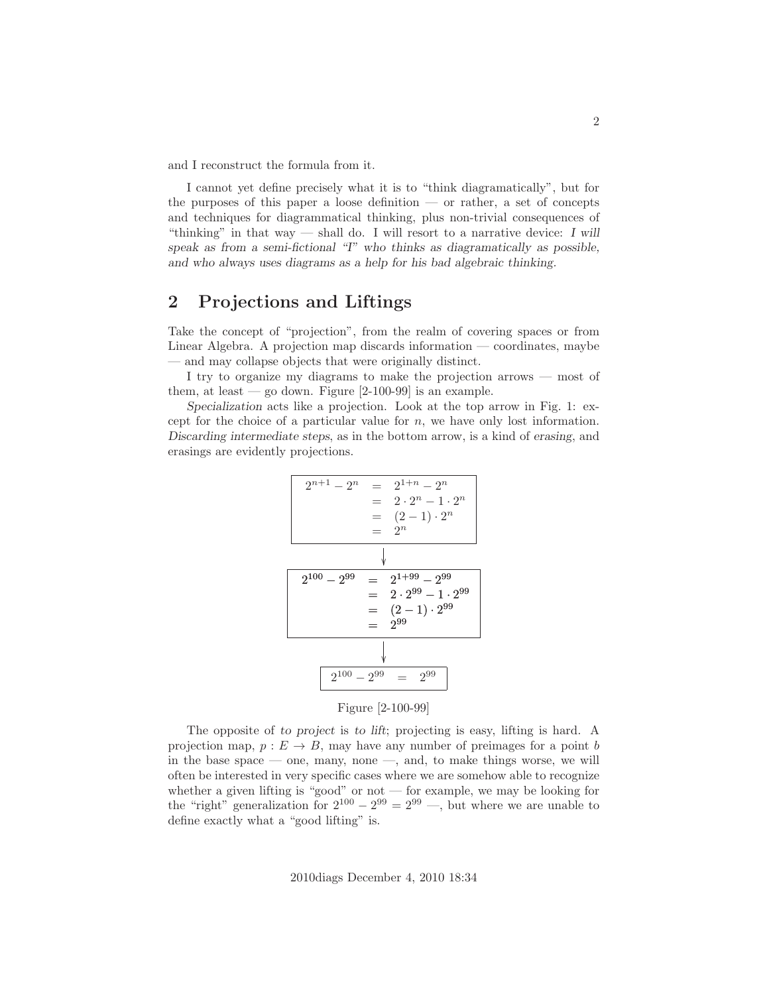and I reconstruct the formula from it.

I cannot yet define precisely what it is to "think diagramatically", but for the purposes of this paper a loose definition — or rather, a set of concepts and techniques for diagrammatical thinking, plus non-trivial consequences of "thinking" in that way — shall do. I will resort to a narrative device: *I will speak as from a semi-fictional "I" who thinks as diagramatically as possible, and who always uses diagrams as a help for his bad algebraic thinking.*

### <span id="page-1-0"></span>2 Projections and Liftings

Take the concept of "projection", from the realm of covering spaces or from Linear Algebra. A projection map discards information — coordinates, maybe — and may collapse objects that were originally distinct.

I try to organize my diagrams to make the projection arrows — most of them, at least  $-$  go down. Figure  $[2-100-99]$  is an example.

*Specialization* acts like a projection. Look at the top arrow in Fig. 1: except for the choice of a particular value for  $n$ , we have only lost information. *Discarding intermediate steps*, as in the bottom arrow, is a kind of *erasing*, and erasings are evidently projections.

$$
2^{n+1} - 2^n = 2^{1+n} - 2^n
$$
  
= 2 \cdot 2^n - 1 \cdot 2^n  
= (2 - 1) \cdot 2^n  
  
\n
$$
\sqrt{2^{100} - 2^{99}} = 2^{1+99} - 2^{99}
$$
  
= 2 \cdot 2^{99} - 1 \cdot 2^{99}  
= (2 - 1) \cdot 2^{99}  
= 2^{99}  
  
\n2^{100} - 2^{99} = 2^{99}

Figure [2-100-99]

The opposite of *to project* is *to lift*; projecting is easy, lifting is hard. A projection map,  $p : E \to B$ , may have any number of preimages for a point b in the base space — one, many, none —, and, to make things worse, we will often be interested in very specific cases where we are somehow able to recognize whether a given lifting is "good" or not  $-$  for example, we may be looking for the "right" generalization for  $2^{100} - 2^{99} = 2^{99}$  —, but where we are unable to define exactly what a "good lifting" is.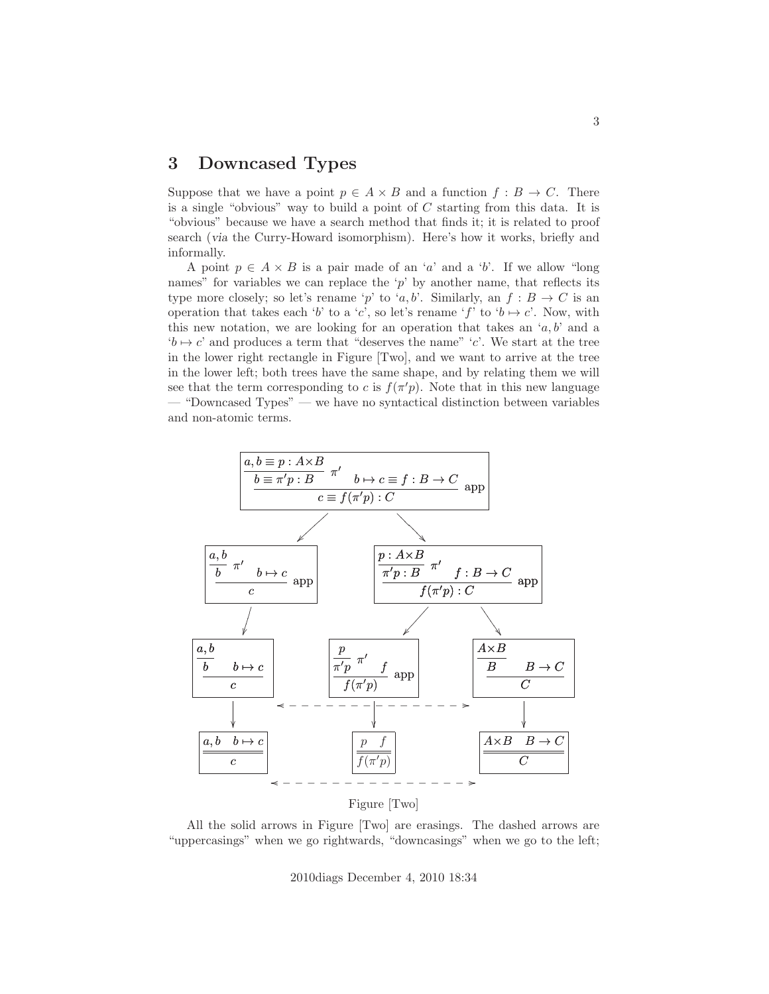### 3 Downcased Types

Suppose that we have a point  $p \in A \times B$  and a function  $f : B \to C$ . There is a single "obvious" way to build a point of C starting from this data. It is "obvious" because we have a search method that finds it; it is related to proof search (*via* the Curry-Howard isomorphism). Here's how it works, briefly and informally.

A point  $p \in A \times B$  is a pair made of an 'a' and a 'b'. If we allow "long names" for variables we can replace the 'p' by another name, that reflects its type more closely; so let's rename 'p' to 'a, b'. Similarly, an  $f : B \to C$  is an operation that takes each 'b' to a 'c', so let's rename 'f' to ' $b \mapsto c'$ . Now, with this new notation, we are looking for an operation that takes an  $(a, b)$  and a  $b \mapsto c'$  and produces a term that "deserves the name" 'c'. We start at the tree in the lower right rectangle in Figure [Two], and we want to arrive at the tree in the lower left; both trees have the same shape, and by relating them we will see that the term corresponding to c is  $f(\pi)p$ . Note that in this new language — "Downcased Types" — we have no syntactical distinction between variables and non-atomic terms.



Figure [Two]

All the solid arrows in Figure [Two] are erasings. The dashed arrows are "uppercasings" when we go rightwards, "downcasings" when we go to the left;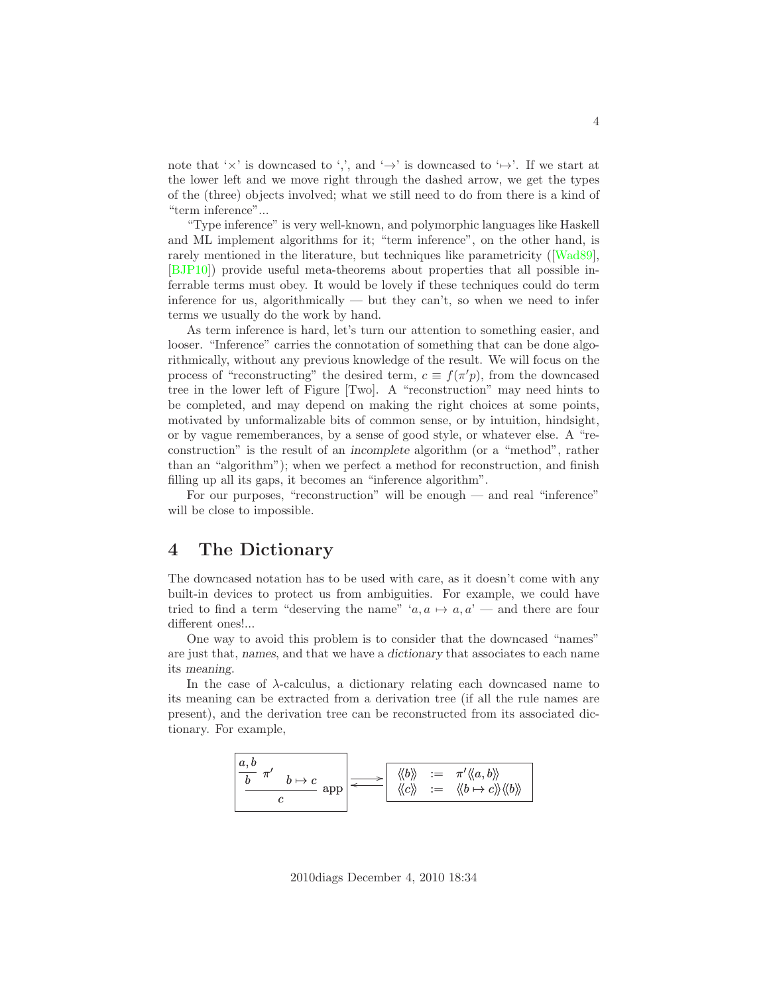note that ' $\times$ ' is downcased to ',', and ' $\rightarrow$ ' is downcased to ' $\mapsto$ '. If we start at the lower left and we move right through the dashed arrow, we get the types of the (three) objects involved; what we still need to do from there is a kind of "term inference"...

"Type inference" is very well-known, and polymorphic languages like Haskell and ML implement algorithms for it; "term inference", on the other hand, is rarely mentioned in the literature, but techniques like parametricity ([\[Wad89\]](#page-29-0), [\[BJP10\]](#page-27-0)) provide useful meta-theorems about properties that all possible inferrable terms must obey. It would be lovely if these techniques could do term inference for us, algorithmically — but they can't, so when we need to infer terms we usually do the work by hand.

As term inference is hard, let's turn our attention to something easier, and looser. "Inference" carries the connotation of something that can be done algorithmically, without any previous knowledge of the result. We will focus on the process of "reconstructing" the desired term,  $c \equiv f(\pi'p)$ , from the downcased tree in the lower left of Figure [Two]. A "reconstruction" may need hints to be completed, and may depend on making the right choices at some points, motivated by unformalizable bits of common sense, or by intuition, hindsight, or by vague rememberances, by a sense of good style, or whatever else. A "reconstruction" is the result of an *incomplete* algorithm (or a "method", rather than an "algorithm"); when we perfect a method for reconstruction, and finish filling up all its gaps, it becomes an "inference algorithm".

For our purposes, "reconstruction" will be enough — and real "inference" will be close to impossible.

### <span id="page-3-0"></span>4 The Dictionary

The downcased notation has to be used with care, as it doesn't come with any built-in devices to protect us from ambiguities. For example, we could have tried to find a term "deserving the name" ' $a, a \mapsto a, a'$  — and there are four different ones!...

One way to avoid this problem is to consider that the downcased "names" are just that, *names*, and that we have a *dictionary* that associates to each name its *meaning*.

In the case of  $\lambda$ -calculus, a dictionary relating each downcased name to its meaning can be extracted from a derivation tree (if all the rule names are present), and the derivation tree can be reconstructed from its associated dictionary. For example,

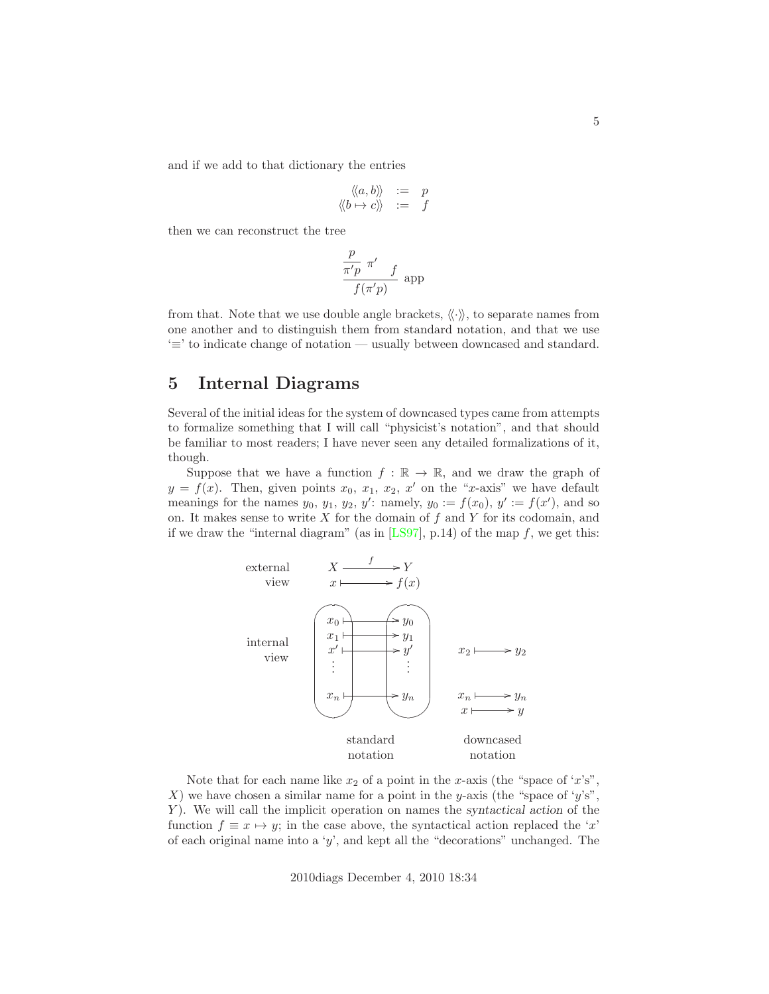and if we add to that dictionary the entries

$$
\begin{array}{rcl}\n\langle\!\langle a,b\rangle\!\rangle & := & p \\
\langle\!\langle b \mapsto c\rangle\!\rangle & := & f\n\end{array}
$$

then we can reconstruct the tree

$$
\frac{\frac{p}{\pi'p} \pi' }{f(\pi'p)} \text{ app}
$$

from that. Note that we use double angle brackets,  $\langle \cdot \rangle$ , to separate names from one another and to distinguish them from standard notation, and that we use '≡' to indicate change of notation — usually between downcased and standard.

### 5 Internal Diagrams

Several of the initial ideas for the system of downcased types came from attempts to formalize something that I will call "physicist's notation", and that should be familiar to most readers; I have never seen any detailed formalizations of it, though.

Suppose that we have a function  $f : \mathbb{R} \to \mathbb{R}$ , and we draw the graph of  $y = f(x)$ . Then, given points  $x_0, x_1, x_2, x'$  on the "x-axis" we have default meanings for the names  $y_0, y_1, y_2, y'$ : namely,  $y_0 := f(x_0), y' := f(x')$ , and so on. It makes sense to write  $X$  for the domain of  $f$  and  $Y$  for its codomain, and if we draw the "internal diagram" (as in  $[LS97]$ , p.14) of the map f, we get this:



Note that for each name like  $x_2$  of a point in the x-axis (the "space of 'x's", X) we have chosen a similar name for a point in the y-axis (the "space of 'y's", Y). We will call the implicit operation on names the *syntactical action* of the function  $f \equiv x \mapsto y$ ; in the case above, the syntactical action replaced the 'x' of each original name into a 'y', and kept all the "decorations" unchanged. The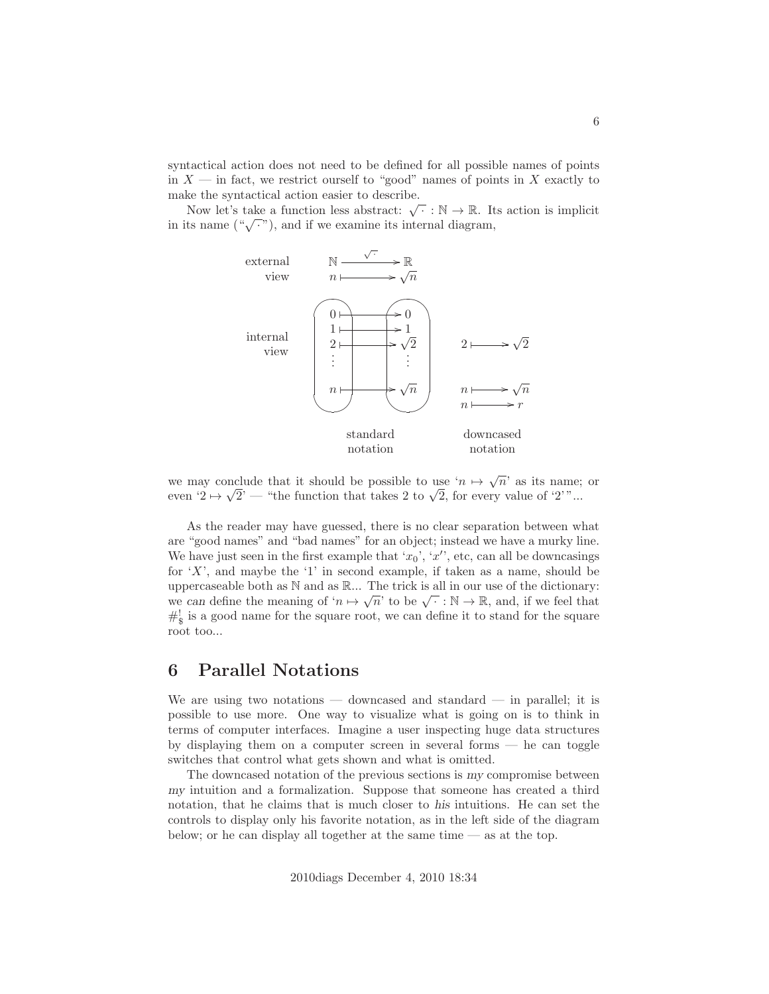syntactical action does not need to be defined for all possible names of points in  $X$  — in fact, we restrict ourself to "good" names of points in X exactly to make the syntactical action easier to describe.

Now let's take a function less abstract:  $\sqrt{\cdot} : \mathbb{N} \to \mathbb{R}$ . Its action is implicit in its name  $(\sqrt[n]{\cdot \sqrt{n}})$ , and if we examine its internal diagram,



we may conclude that it should be possible to use ' $n \mapsto \sqrt{n}$ ' as its name; or even  $'2 \mapsto \sqrt{2'}$  — "the function that takes 2 to  $\sqrt{2}$ , for every value of '2'"...

As the reader may have guessed, there is no clear separation between what are "good names" and "bad names" for an object; instead we have a murky line. We have just seen in the first example that ' $x_0$ ', ' $x'$ ', etc, can all be downcasings for  $'X'$ , and maybe the  $'1'$  in second example, if taken as a name, should be uppercaseable both as  $\mathbb N$  and as  $\mathbb R$ ... The trick is all in our use of the dictionary: we *can* define the meaning of ' $n \mapsto \sqrt{n}$ ' to be  $\sqrt{\cdot} : \mathbb{N} \to \mathbb{R}$ , and, if we feel that  $\#^!_{\S}$  is a good name for the square root, we can define it to stand for the square root too...

### 6 Parallel Notations

We are using two notations — downcased and standard — in parallel; it is possible to use more. One way to visualize what is going on is to think in terms of computer interfaces. Imagine a user inspecting huge data structures by displaying them on a computer screen in several forms — he can toggle switches that control what gets shown and what is omitted.

The downcased notation of the previous sections is *my* compromise between *my* intuition and a formalization. Suppose that someone has created a third notation, that he claims that is much closer to *his* intuitions. He can set the controls to display only his favorite notation, as in the left side of the diagram below; or he can display all together at the same time  $-$  as at the top.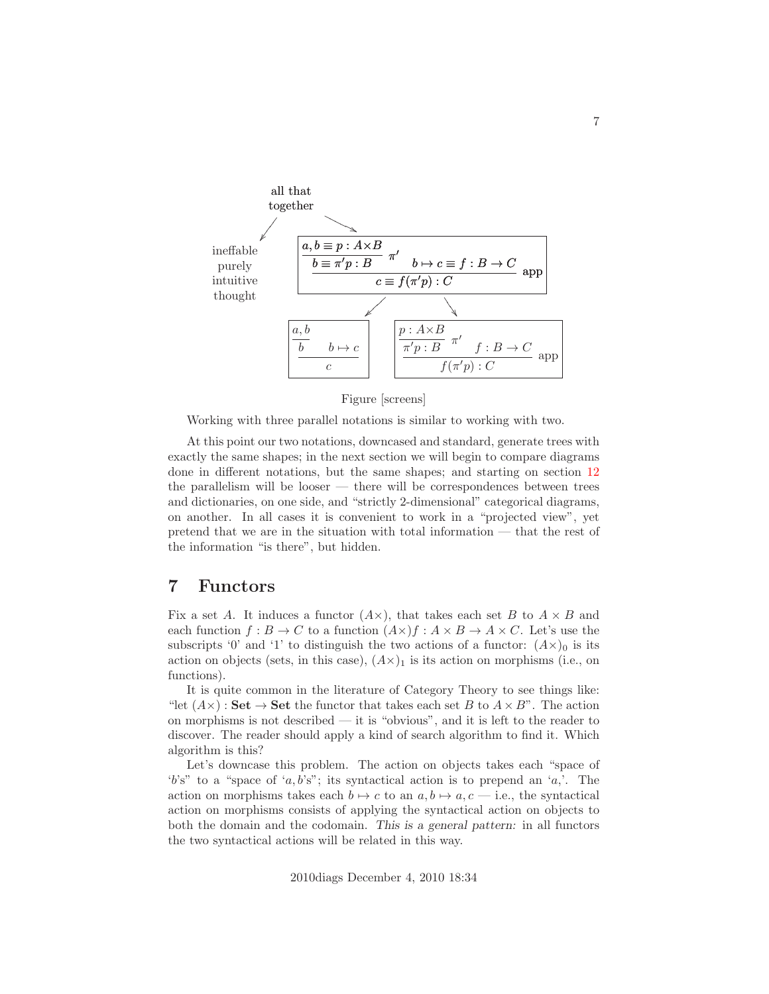

Figure [screens]

Working with three parallel notations is similar to working with two.

At this point our two notations, downcased and standard, generate trees with exactly the same shapes; in the next section we will begin to compare diagrams done in different notations, but the same shapes; and starting on section [12](#page-14-0) the parallelism will be looser  $-$  there will be correspondences between trees and dictionaries, on one side, and "strictly 2-dimensional" categorical diagrams, on another. In all cases it is convenient to work in a "projected view", yet pretend that we are in the situation with total information — that the rest of the information "is there", but hidden.

### 7 Functors

Fix a set A. It induces a functor  $(A \times)$ , that takes each set B to  $A \times B$  and each function  $f : B \to C$  to a function  $(A \times) f : A \times B \to A \times C$ . Let's use the subscripts '0' and '1' to distinguish the two actions of a functor:  $(A \times)$ <sub>0</sub> is its action on objects (sets, in this case),  $(A \times)$ <sub>1</sub> is its action on morphisms (i.e., on functions).

It is quite common in the literature of Category Theory to see things like: "let  $(A \times)$ : Set  $\rightarrow$  Set the functor that takes each set B to  $A \times B$ ". The action on morphisms is not described — it is "obvious", and it is left to the reader to discover. The reader should apply a kind of search algorithm to find it. Which algorithm is this?

Let's downcase this problem. The action on objects takes each "space of 'b's" to a "space of 'a, b's"; its syntactical action is to prepend an 'a,'. The action on morphisms takes each  $b \mapsto c$  to an  $a, b \mapsto a, c$  – i.e., the syntactical action on morphisms consists of applying the syntactical action on objects to both the domain and the codomain. *This is a general pattern:* in all functors the two syntactical actions will be related in this way.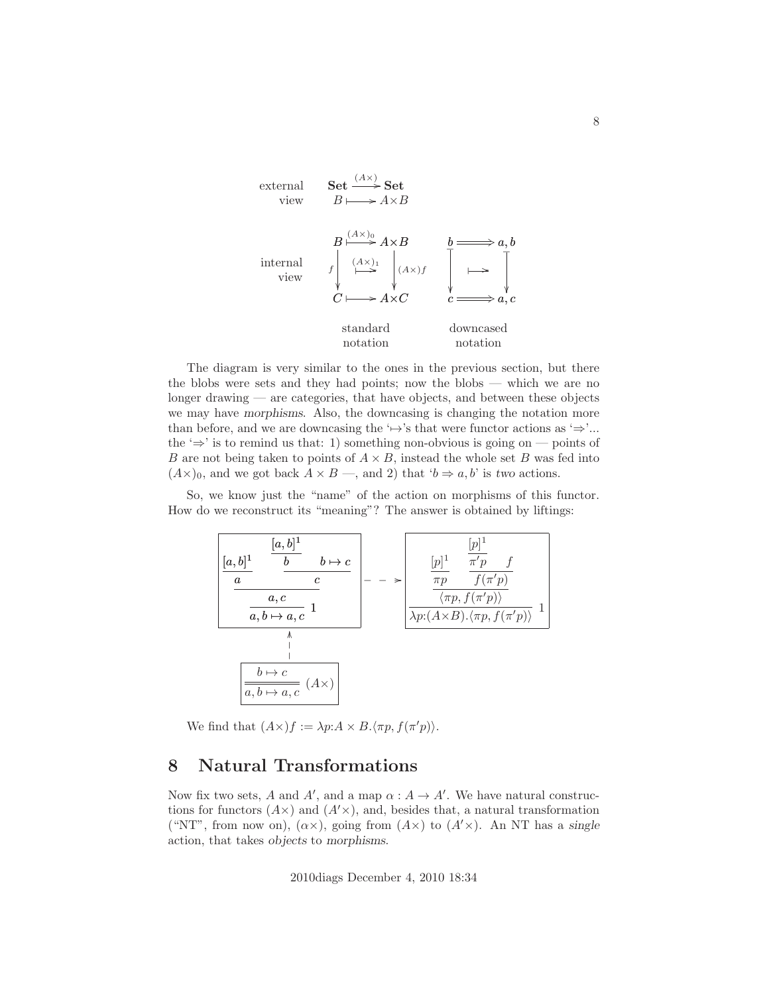

The diagram is very similar to the ones in the previous section, but there the blobs were sets and they had points; now the blobs — which we are no longer drawing — are categories, that have objects, and between these objects we may have *morphisms*. Also, the downcasing is changing the notation more than before, and we are downcasing the ' $\mapsto$ 's that were functor actions as ' $\Rightarrow$ '... the ' $\Rightarrow$ ' is to remind us that: 1) something non-obvious is going on — points of B are not being taken to points of  $A \times B$ , instead the whole set B was fed into  $(A\times)_{0}$ , and we got back  $A \times B$  —, and 2) that ' $b \Rightarrow a, b$ ' is *two* actions.

So, we know just the "name" of the action on morphisms of this functor. How do we reconstruct its "meaning"? The answer is obtained by liftings:



We find that  $(A\times)f := \lambda p:A \times B.\langle \pi p, f(\pi' p)\rangle$ .

### 8 Natural Transformations

Now fix two sets, A and A', and a map  $\alpha : A \to A'$ . We have natural constructions for functors  $(A \times)$  and  $(A' \times)$ , and, besides that, a natural transformation ("NT", from now on),  $(\alpha \times)$ , going from  $(A \times)$  to  $(A' \times)$ . An NT has a *single* action, that takes *objects* to *morphisms*.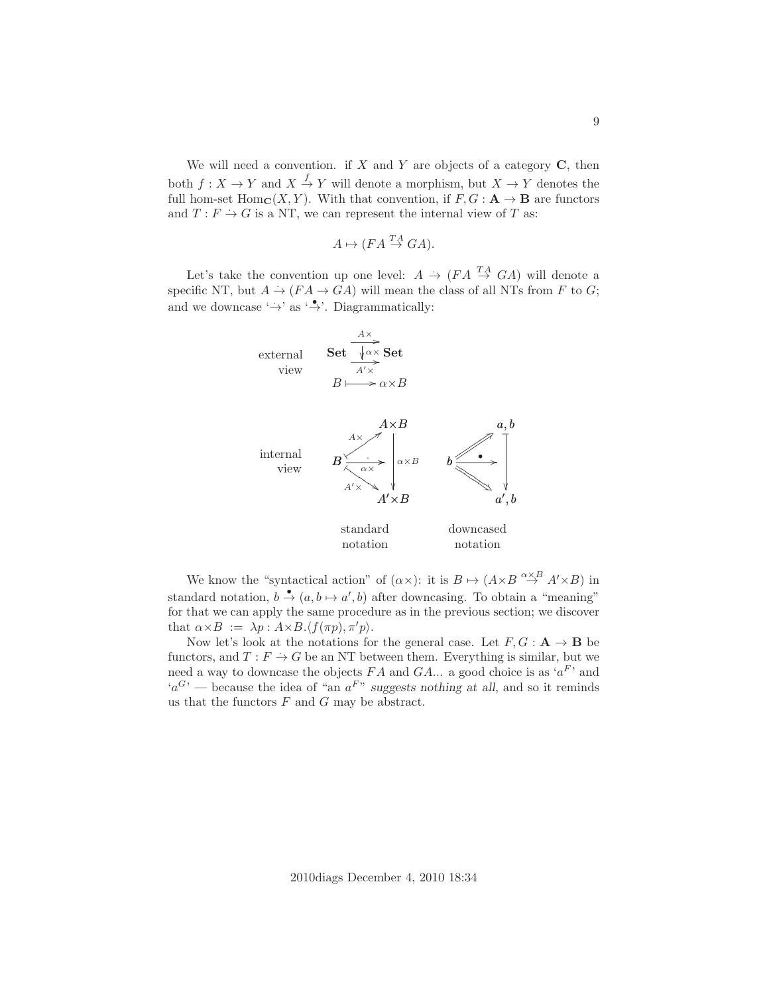We will need a convention. if  $X$  and  $Y$  are objects of a category  $C$ , then both  $f: X \to Y$  and  $X \stackrel{f}{\to} Y$  will denote a morphism, but  $X \to Y$  denotes the full hom-set  $\text{Hom}_{\mathbf{C}}(X, Y)$ . With that convention, if  $F, G : \mathbf{A} \to \mathbf{B}$  are functors and  $T: F \to G$  is a NT, we can represent the internal view of T as:

$$
A \mapsto (FA \stackrel{TA}{\to} GA).
$$

Let's take the convention up one level:  $A \rightarrow (FA \stackrel{TA}{\rightarrow} GA)$  will denote a specific NT, but  $A \rightarrow (FA \rightarrow GA)$  will mean the class of all NTs from F to G; and we downcase  $\leftrightarrow$  as  $\leftrightarrow$ . Diagrammatically:



We know the "syntactical action" of  $(\alpha \times)$ : it is  $B \mapsto (A \times B \overset{\alpha \times B}{\to} A' \times B)$  in standard notation,  $b \stackrel{\bullet}{\rightarrow} (a, b \mapsto a', b)$  after downcasing. To obtain a "meaning" for that we can apply the same procedure as in the previous section; we discover that  $\alpha \times B := \lambda p : A \times B \langle f(\pi p), \pi' p \rangle$ .

Now let's look at the notations for the general case. Let  $F, G : A \to B$  be functors, and  $T: F \to G$  be an NT between them. Everything is similar, but we need a way to downcase the objects  $FA$  and  $GA...$  a good choice is as ' $a^F$ ' and  $a<sup>G</sup>$  – because the idea of "an  $a<sup>F</sup>$ " suggests nothing at all, and so it reminds us that the functors  $F$  and  $G$  may be abstract.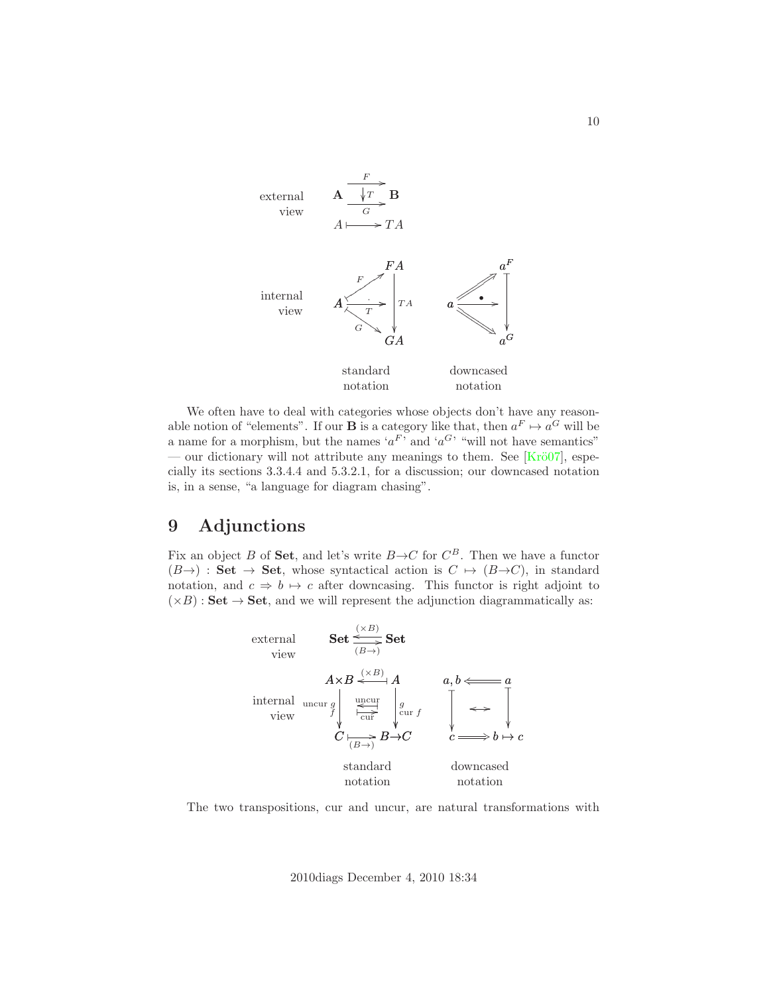

We often have to deal with categories whose objects don't have any reasonable notion of "elements". If our **B** is a category like that, then  $a^F \mapsto a^G$  will be a name for a morphism, but the names ' $a^F$ ' and ' $a^G$ ' "will not have semantics" — our dictionary will not attribute any meanings to them. See  $[Kr\ddot{o}07]$ , especially its sections 3.3.4.4 and 5.3.2.1, for a discussion; our downcased notation is, in a sense, "a language for diagram chasing".

## <span id="page-9-0"></span>9 Adjunctions

Fix an object B of Set, and let's write  $B \to C$  for  $C^B$ . Then we have a functor  $(B\rightarrow)$ : Set  $\rightarrow$  Set, whose syntactical action is  $C \rightarrow (B\rightarrow C)$ , in standard notation, and  $c \Rightarrow b \mapsto c$  after downcasing. This functor is right adjoint to  $(\times B)$ : Set  $\rightarrow$  Set, and we will represent the adjunction diagrammatically as:



The two transpositions, cur and uncur, are natural transformations with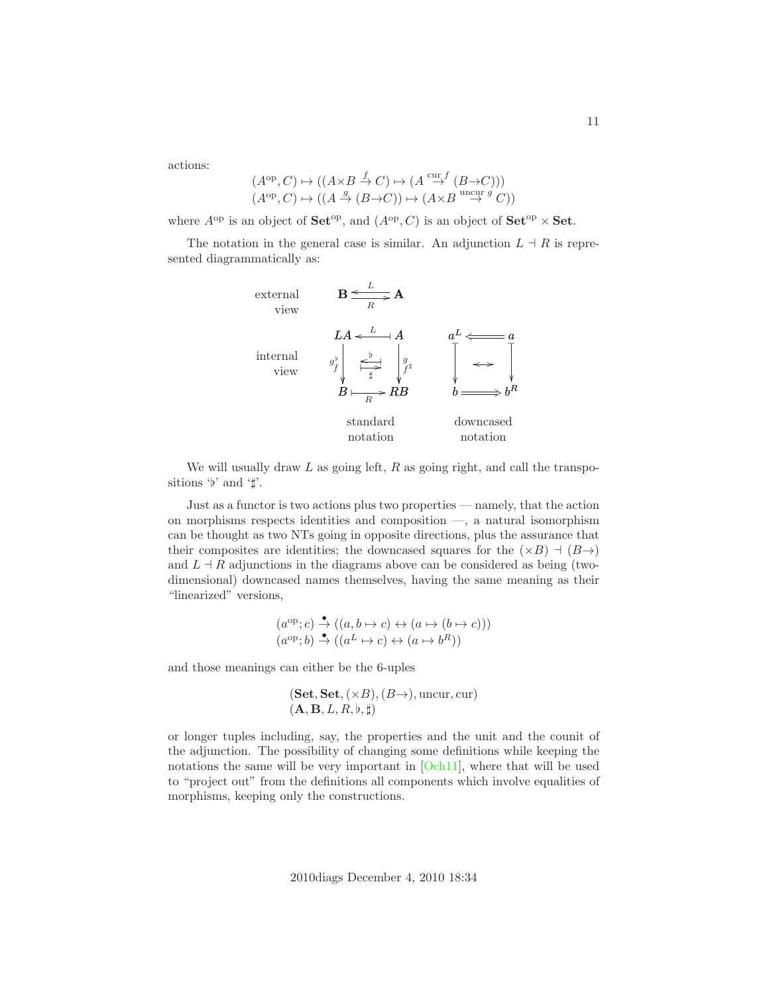actions:

$$
(A^{\mathrm{op}}, C) \mapsto ((A \times B \xrightarrow{f} C) \mapsto (A \xrightarrow{\mathrm{cur}} (B \to C)))
$$
  

$$
(A^{\mathrm{op}}, C) \mapsto ((A \xrightarrow{g} (B \to C)) \mapsto (A \times B \xrightarrow{\mathrm{uncur}} C))
$$

where  $A^{\rm op}$  is an object of  $\mathbf{Set}^{\rm op}$ , and  $(A^{\rm op}, C)$  is an object of  $\mathbf{Set}^{\rm op} \times \mathbf{Set}$ .

The notation in the general case is similar. An adjunction  $L \dashv R$  is represented diagrammatically as:



We will usually draw  $L$  as going left,  $R$  as going right, and call the transpositions ' $\nvdash$ ' and ' $\not\parallel$ '.

Just as a functor is two actions plus two properties — namely, that the action on morphisms respects identities and composition —, a natural isomorphism can be thought as two NTs going in opposite directions, plus the assurance that their composites are identities; the downcased squares for the  $(\times B)$  +  $(B\rightarrow)$ and  $L \dashv R$  adjunctions in the diagrams above can be considered as being (twodimensional) downcased names themselves, having the same meaning as their "linearized" versions,

$$
(a^{\rm op}; c) \xrightarrow{\bullet} ((a, b \mapsto c) \leftrightarrow (a \mapsto (b \mapsto c)))
$$
  

$$
(a^{\rm op}; b) \xrightarrow{\bullet} ((a^L \mapsto c) \leftrightarrow (a \mapsto b^R))
$$

and those meanings can either be the 6-uples

$$
(\mathbf{Set}, \mathbf{Set}, (\times B), (B\rightarrow), \text{uncur}, \text{cur})
$$
  

$$
(\mathbf{A}, \mathbf{B}, L, R, \flat, \sharp)
$$

or longer tuples including, say, the properties and the unit and the counit of the adjunction. The possibility of changing some definitions while keeping the notations the same will be very important in [\[Och11\]](#page-28-2), where that will be used to "project out" from the definitions all components which involve equalities of morphisms, keeping only the constructions.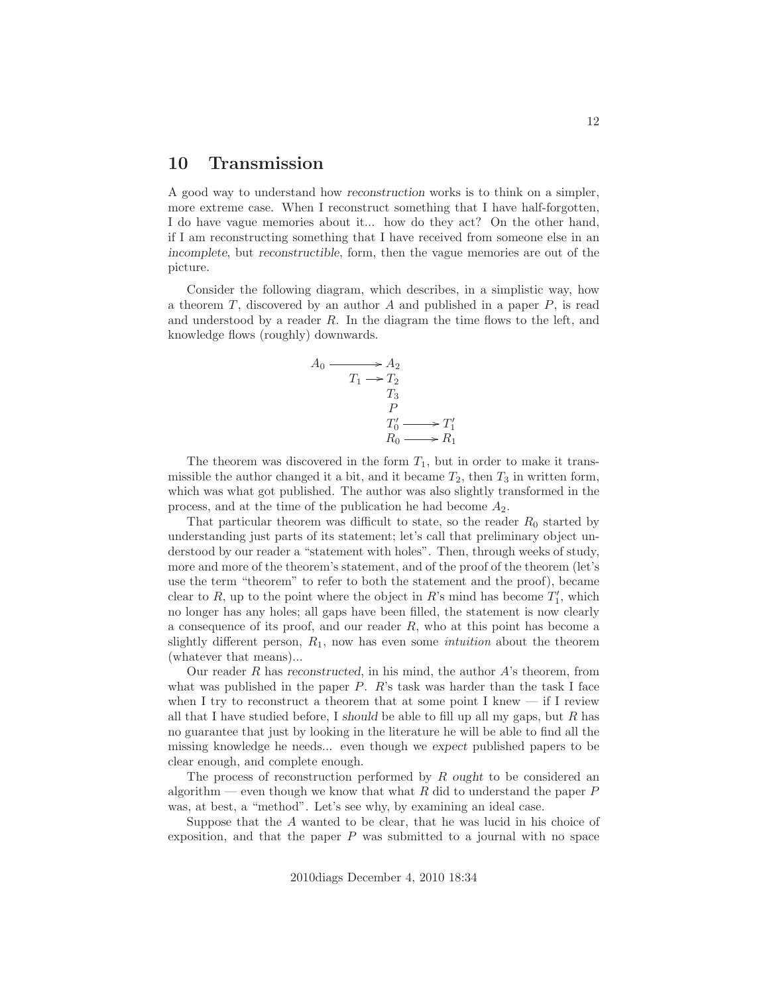#### <span id="page-11-0"></span>10 Transmission

A good way to understand how *reconstruction* works is to think on a simpler, more extreme case. When I reconstruct something that I have half-forgotten, I do have vague memories about it... how do they act? On the other hand, if I am reconstructing something that I have received from someone else in an *incomplete*, but *reconstructible*, form, then the vague memories are out of the picture.

Consider the following diagram, which describes, in a simplistic way, how a theorem  $T$ , discovered by an author  $A$  and published in a paper  $P$ , is read and understood by a reader  $R$ . In the diagram the time flows to the left, and knowledge flows (roughly) downwards.

$$
A_0 \longrightarrow A_2
$$
  
\n
$$
T_1 \longrightarrow T_2
$$
  
\n
$$
T_3
$$
  
\n
$$
T'_0 \longrightarrow T'_1
$$
  
\n
$$
R_0 \longrightarrow R_1
$$

The theorem was discovered in the form  $T_1$ , but in order to make it transmissible the author changed it a bit, and it became  $T_2$ , then  $T_3$  in written form, which was what got published. The author was also slightly transformed in the process, and at the time of the publication he had become  $A_2$ .

That particular theorem was difficult to state, so the reader  $R_0$  started by understanding just parts of its statement; let's call that preliminary object understood by our reader a "statement with holes". Then, through weeks of study, more and more of the theorem's statement, and of the proof of the theorem (let's use the term "theorem" to refer to both the statement and the proof), became clear to R, up to the point where the object in R's mind has become  $T_1'$ , which no longer has any holes; all gaps have been filled, the statement is now clearly a consequence of its proof, and our reader  $R$ , who at this point has become a slightly different person,  $R_1$ , now has even some *intuition* about the theorem (whatever that means)...

Our reader R has *reconstructed*, in his mind, the author A's theorem, from what was published in the paper  $P$ . R's task was harder than the task I face when I try to reconstruct a theorem that at some point I knew  $-$  if I review all that I have studied before, I *should* be able to fill up all my gaps, but R has no guarantee that just by looking in the literature he will be able to find all the missing knowledge he needs... even though we *expect* published papers to be clear enough, and complete enough.

The process of reconstruction performed by R *ought* to be considered an algorithm — even though we know that what R did to understand the paper  $P$ was, at best, a "method". Let's see why, by examining an ideal case.

Suppose that the A wanted to be clear, that he was lucid in his choice of exposition, and that the paper  $P$  was submitted to a journal with no space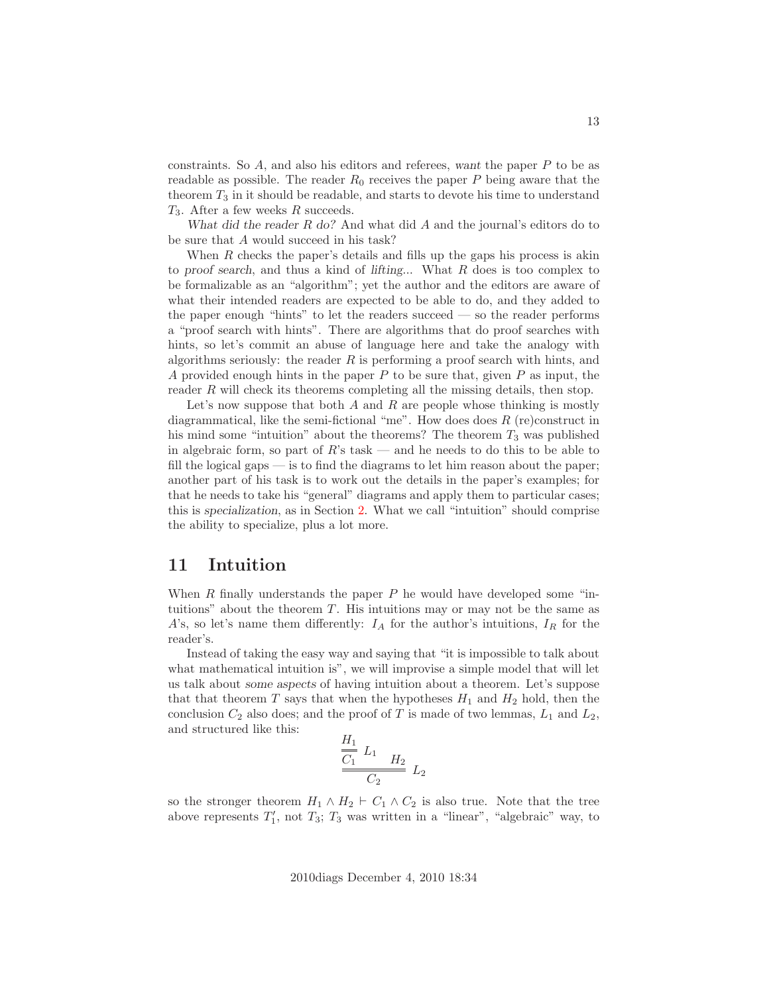constraints. So A, and also his editors and referees, *want* the paper P to be as readable as possible. The reader  $R_0$  receives the paper P being aware that the theorem  $T_3$  in it should be readable, and starts to devote his time to understand  $T_3$ . After a few weeks R succeeds.

*What did the reader* R *do?* And what did A and the journal's editors do to be sure that A would succeed in his task?

When  $R$  checks the paper's details and fills up the gaps his process is akin to *proof search*, and thus a kind of *lifting*... What R does is too complex to be formalizable as an "algorithm"; yet the author and the editors are aware of what their intended readers are expected to be able to do, and they added to the paper enough "hints" to let the readers succeed — so the reader performs a "proof search with hints". There are algorithms that do proof searches with hints, so let's commit an abuse of language here and take the analogy with algorithms seriously: the reader  $R$  is performing a proof search with hints, and A provided enough hints in the paper  $P$  to be sure that, given  $P$  as input, the reader R will check its theorems completing all the missing details, then stop.

Let's now suppose that both  $A$  and  $R$  are people whose thinking is mostly diagrammatical, like the semi-fictional "me". How does does  $R$  (re)construct in his mind some "intuition" about the theorems? The theorem  $T_3$  was published in algebraic form, so part of  $R$ 's task — and he needs to do this to be able to fill the logical gaps — is to find the diagrams to let him reason about the paper; another part of his task is to work out the details in the paper's examples; for that he needs to take his "general" diagrams and apply them to particular cases; this is *specialization*, as in Section [2.](#page-1-0) What we call "intuition" should comprise the ability to specialize, plus a lot more.

### 11 Intuition

When  $R$  finally understands the paper  $P$  he would have developed some "intuitions" about the theorem  $T$ . His intuitions may or may not be the same as A's, so let's name them differently:  $I_A$  for the author's intuitions,  $I_R$  for the reader's.

Instead of taking the easy way and saying that "it is impossible to talk about what mathematical intuition is", we will improvise a simple model that will let us talk about *some aspects* of having intuition about a theorem. Let's suppose that that theorem  $T$  says that when the hypotheses  $H_1$  and  $H_2$  hold, then the conclusion  $C_2$  also does; and the proof of T is made of two lemmas,  $L_1$  and  $L_2$ , and structured like this:

$$
\frac{H_1}{C_1} L_1 H_2 L_2
$$
  

$$
C_2 L_2
$$

so the stronger theorem  $H_1 \wedge H_2 \vdash C_1 \wedge C_2$  is also true. Note that the tree above represents  $T_1'$ , not  $T_3$ ;  $T_3$  was written in a "linear", "algebraic" way, to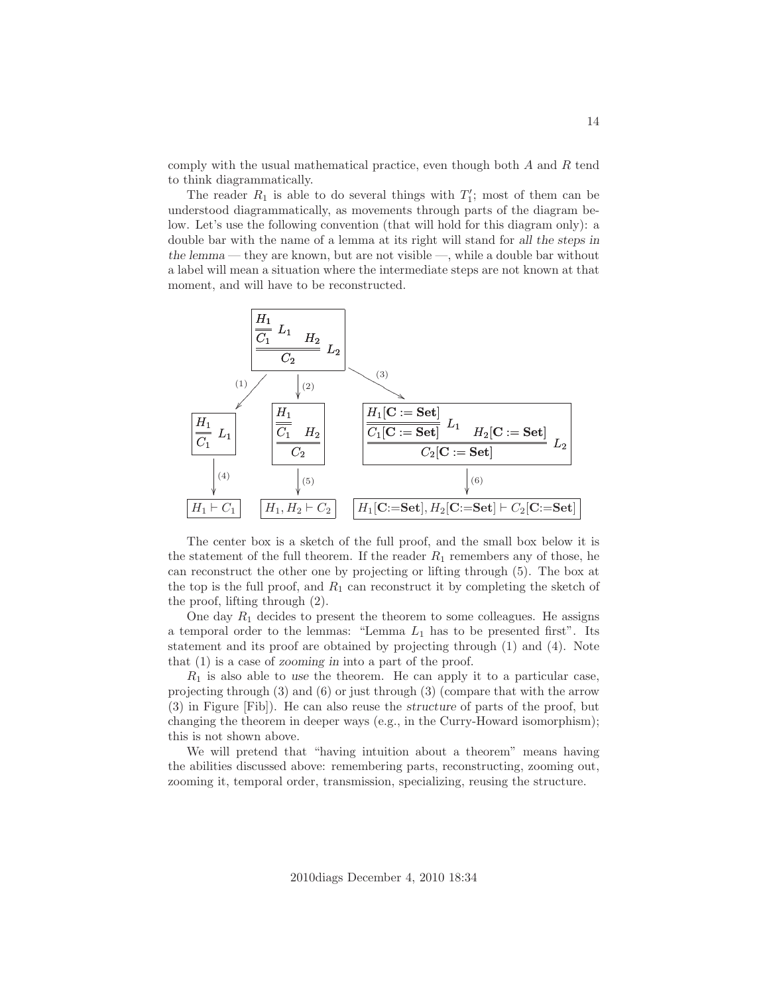comply with the usual mathematical practice, even though both  $A$  and  $R$  tend to think diagrammatically.

The reader  $R_1$  is able to do several things with  $T_1'$ ; most of them can be understood diagrammatically, as movements through parts of the diagram below. Let's use the following convention (that will hold for this diagram only): a double bar with the name of a lemma at its right will stand for *all the steps in the lemma* — they are known, but are not visible —, while a double bar without a label will mean a situation where the intermediate steps are not known at that moment, and will have to be reconstructed.



The center box is a sketch of the full proof, and the small box below it is the statement of the full theorem. If the reader  $R_1$  remembers any of those, he can reconstruct the other one by projecting or lifting through (5). The box at the top is the full proof, and  $R_1$  can reconstruct it by completing the sketch of the proof, lifting through (2).

One day  $R_1$  decides to present the theorem to some colleagues. He assigns a temporal order to the lemmas: "Lemma  $L_1$  has to be presented first". Its statement and its proof are obtained by projecting through (1) and (4). Note that (1) is a case of *zooming in* into a part of the proof.

 $R_1$  is also able to use the theorem. He can apply it to a particular case, projecting through (3) and (6) or just through (3) (compare that with the arrow (3) in Figure [Fib]). He can also reuse the *structure* of parts of the proof, but changing the theorem in deeper ways (e.g., in the Curry-Howard isomorphism); this is not shown above.

We will pretend that "having intuition about a theorem" means having the abilities discussed above: remembering parts, reconstructing, zooming out, zooming it, temporal order, transmission, specializing, reusing the structure.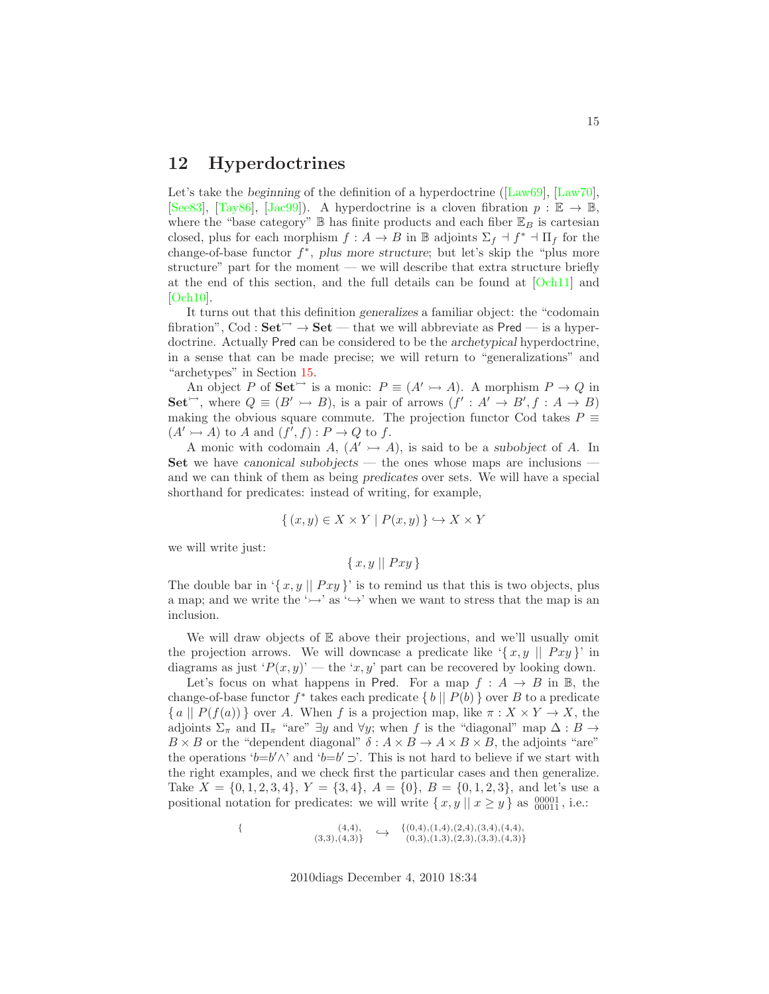#### <span id="page-14-0"></span>12 Hyperdoctrines

Let's take the *beginning* of the definition of a hyperdoctrine ([\[Law69\]](#page-28-3), [\[Law70\]](#page-28-4), [\[See83\]](#page-29-1), [\[Tay86\]](#page-29-2), [\[Jac99\]](#page-28-5)). A hyperdoctrine is a cloven fibration  $p : \mathbb{E} \to \mathbb{B}$ , where the "base category"  $\mathbb B$  has finite products and each fiber  $\mathbb E_B$  is cartesian closed, plus for each morphism  $f : A \to B$  in  $\mathbb B$  adjoints  $\Sigma_f \dashv f^* \dashv \Pi_f$  for the change-of-base functor f ∗ , *plus more structure*; but let's skip the "plus more structure" part for the moment — we will describe that extra structure briefly at the end of this section, and the full details can be found at [\[Och11\]](#page-28-2) and [Och<sub>10</sub>].

It turns out that this definition *generalizes* a familiar object: the "codomain fibration", Cod :  $Set^{\rightarrow} \rightarrow Set$  — that we will abbreviate as Pred — is a hyperdoctrine. Actually Pred can be considered to be the *archetypical* hyperdoctrine, in a sense that can be made precise; we will return to "generalizations" and "archetypes" in Section [15.](#page-22-0)

An object P of  $\text{Set}^{\rightarrow}$  is a monic:  $P \equiv (A' \rightarrowtail A)$ . A morphism  $P \rightarrow Q$  in Set<sup> $\rightarrow$ </sup>, where  $Q \equiv (B' \rightarrow B)$ , is a pair of arrows  $(f' : A' \rightarrow B', f : A \rightarrow B)$ making the obvious square commute. The projection functor Cod takes  $P \equiv$  $(A' \rightarrowtail A)$  to A and  $(f', f) : P \rightarrow Q$  to f.

A monic with codomain  $A$ ,  $(A' \rightarrow A)$ , is said to be a *subobject* of A. In Set we have *canonical subobjects* — the ones whose maps are inclusions and we can think of them as being *predicates* over sets. We will have a special shorthand for predicates: instead of writing, for example,

$$
\{ (x, y) \in X \times Y \mid P(x, y) \} \hookrightarrow X \times Y
$$

we will write just:

 $\{x, y \mid Pxy\}$ 

The double bar in '{ $x, y \parallel Pxy$ }' is to remind us that this is two objects, plus a map; and we write the ' $\rightarrow$ ' as ' $\rightarrow$ ' when we want to stress that the map is an inclusion.

We will draw objects of E above their projections, and we'll usually omit the projection arrows. We will downcase a predicate like  $\{x, y \mid Pxy\}$  in diagrams as just ' $P(x, y)$ ' — the 'x, y' part can be recovered by looking down.

Let's focus on what happens in Pred. For a map  $f : A \rightarrow B$  in B, the change-of-base functor  $f^*$  takes each predicate  $\{b \mid P(b)\}$  over B to a predicate  ${ a \mid P(f(a)) }$  over A. When f is a projection map, like  $\pi : X \times Y \to X$ , the adjoints  $\Sigma_{\pi}$  and  $\Pi_{\pi}$  "are" ∃y and  $\forall y$ ; when f is the "diagonal" map  $\Delta : B \rightarrow$  $B \times B$  or the "dependent diagonal"  $\delta : A \times B \to A \times B \times B$ , the adjoints "are" the operations 'b=b' $\wedge$ ' and 'b=b'  $\supset'$ . This is not hard to believe if we start with the right examples, and we check first the particular cases and then generalize. Take  $X = \{0, 1, 2, 3, 4\}, Y = \{3, 4\}, A = \{0\}, B = \{0, 1, 2, 3\}, \$ and let's use a positional notation for predicates: we will write  $\{x, y \mid x \ge y\}$  as  $\substack{00001 \\ 00011}$ , i.e.:

$$
\{\n\begin{array}{ccc}\n(4,4), & \downarrow \{(0,4), (1,4), (2,4), (3,4), (4,4), \\
(3,3), (4,3)\}\n\end{array}\n\rightarrow\n\begin{array}{ccc}\n\{(0,4), (1,4), (2,4), (3,4), (4,4), \\
(0,3), (1,3), (2,3), (3,3), (4,3)\}\n\end{array}
$$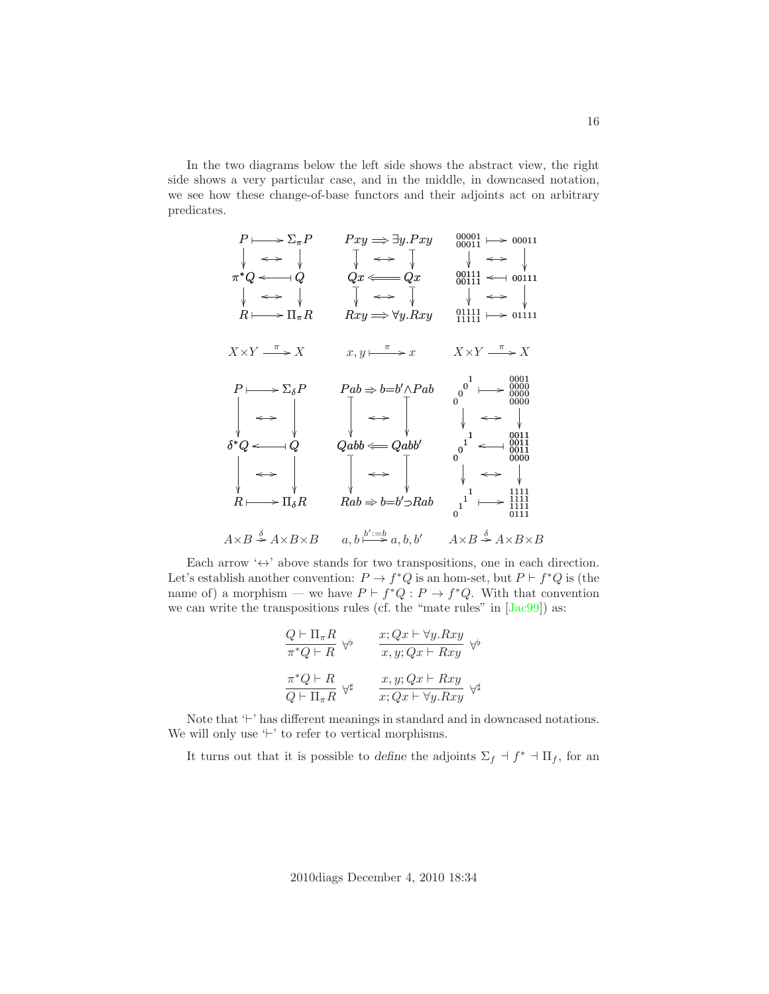In the two diagrams below the left side shows the abstract view, the right side shows a very particular case, and in the middle, in downcased notation, we see how these change-of-base functors and their adjoints act on arbitrary predicates.



Each arrow  $\leftrightarrow$  above stands for two transpositions, one in each direction. Let's establish another convention:  $P \to f^*Q$  is an hom-set, but  $P \vdash f^*Q$  is (the name of) a morphism — we have  $P \vdash f^*Q : P \to f^*Q$ . With that convention we can write the transpositions rules (cf. the "mate rules" in  $[Jac99]$ ) as:

$$
Q \vdash \Pi_{\pi} R
$$
  
\n
$$
\pi^* Q \vdash R
$$
  
\n
$$
\pi^* Q \vdash R
$$
  
\n
$$
\pi^* Q \vdash R
$$
  
\n
$$
\pi^* Q \vdash R
$$
  
\n
$$
\pi^* Q \vdash R
$$
  
\n
$$
\pi^* Q \vdash R
$$
  
\n
$$
\pi^* Q \vdash R
$$
  
\n
$$
\pi^* Q \vdash R
$$
  
\n
$$
\pi^* Q \vdash R
$$
  
\n
$$
\pi^* Q \vdash R
$$
  
\n
$$
\pi^* Q \vdash R
$$
  
\n
$$
\pi^* Q \vdash R
$$
  
\n
$$
\pi^* Q \vdash R
$$
  
\n
$$
\pi^* Q \vdash R
$$
  
\n
$$
\pi^* Q \vdash R
$$
  
\n
$$
\pi^* Q \vdash R
$$
  
\n
$$
\pi^* Q \vdash R
$$
  
\n
$$
\pi^* Q \vdash R
$$

Note that '⊢' has different meanings in standard and in downcased notations. We will only use '⊢' to refer to vertical morphisms.

It turns out that it is possible to *define* the adjoints  $\Sigma_f \dashv f^* \dashv \Pi_f$ , for an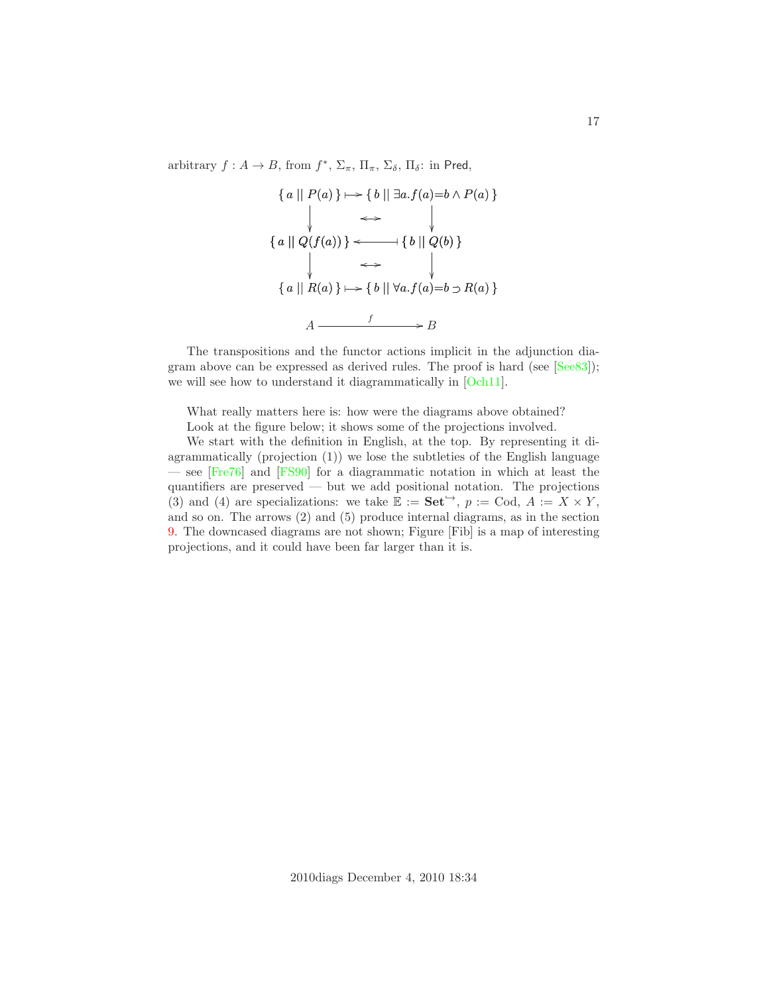arbitrary  $f: A \to B$ , from  $f^*, \Sigma_{\pi}, \Pi_{\pi}, \Sigma_{\delta}, \Pi_{\delta}$ : in Pred,

$$
\{a \mid P(a)\} \mapsto \{b \mid \exists a.f(a)=b \land P(a)\}
$$
\n
$$
\iff \qquad \downarrow
$$
\n
$$
\{a \mid Q(f(a))\} \longleftarrow \{b \mid Q(b)\}
$$
\n
$$
\downarrow \iff \qquad \downarrow
$$
\n
$$
\{a \mid R(a)\} \mapsto \{b \mid \forall a.f(a)=b \supset R(a)\}
$$
\n
$$
A \xrightarrow{f} B
$$

The transpositions and the functor actions implicit in the adjunction diagram above can be expressed as derived rules. The proof is hard (see [\[See83\]](#page-29-1)); we will see how to understand it diagrammatically in [\[Och11\]](#page-28-2).

What really matters here is: how were the diagrams above obtained? Look at the figure below; it shows some of the projections involved.

We start with the definition in English, at the top. By representing it diagrammatically (projection (1)) we lose the subtleties of the English language — see [\[Fre76\]](#page-28-7) and [\[FS90\]](#page-28-8) for a diagrammatic notation in which at least the quantifiers are preserved — but we add positional notation. The projections (3) and (4) are specializations: we take  $\mathbb{E} := \mathbf{Set}^{\hookrightarrow}$ ,  $p := \text{Cod}$ ,  $A := X \times Y$ , and so on. The arrows (2) and (5) produce internal diagrams, as in the section [9.](#page-9-0) The downcased diagrams are not shown; Figure [Fib] is a map of interesting projections, and it could have been far larger than it is.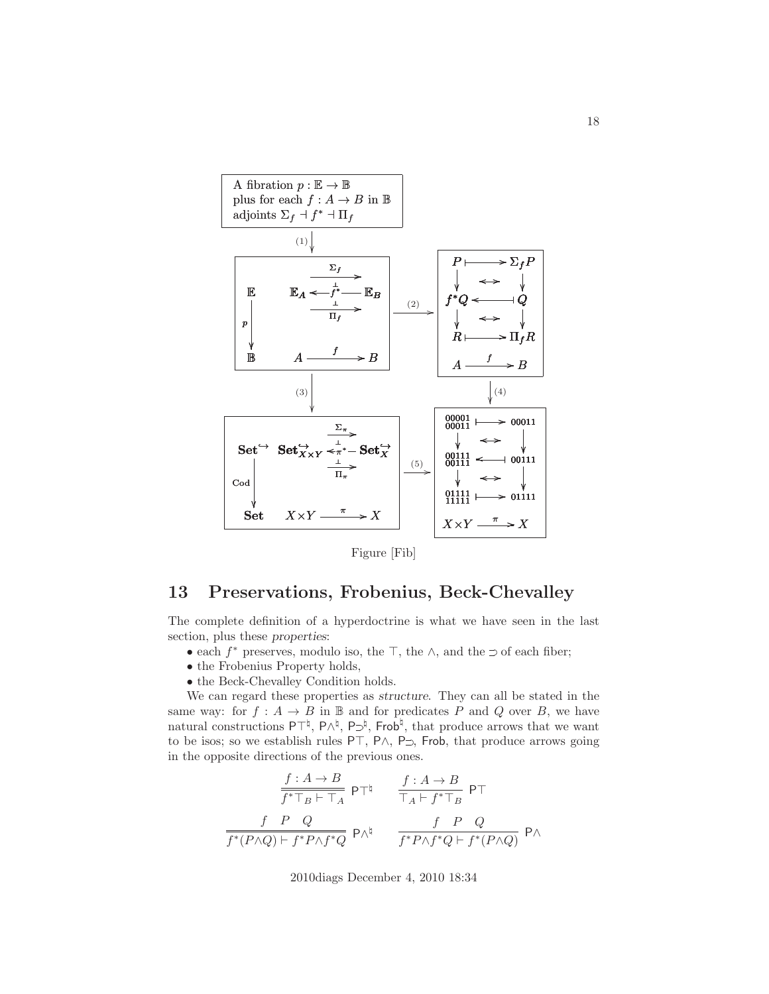

Figure [Fib]

## <span id="page-17-0"></span>13 Preservations, Frobenius, Beck-Chevalley

The complete definition of a hyperdoctrine is what we have seen in the last section, plus these *properties*:

- each  $f^*$  preserves, modulo iso, the ⊤, the ∧, and the ⊃ of each fiber;
- the Frobenius Property holds,
- the Beck-Chevalley Condition holds.

We can regard these properties as *structure*. They can all be stated in the same way: for  $f : A \to B$  in  $\mathbb B$  and for predicates P and Q over B, we have natural constructions P⊤<sup> $\natural$ </sup>, P∧<sup> $\natural$ </sup>, P⊃<sup> $\natural$ </sup>, Frob<sup> $\natural$ </sup>, that produce arrows that we want to be isos; so we establish rules <sup>P</sup>⊤, <sup>P</sup>∧, <sup>P</sup> ✁, Frob, that produce arrows going in the opposite directions of the previous ones.

$$
\frac{f: A \to B}{f^* \top_B \vdash \top_A} \mathsf{PT}^\natural \qquad \frac{f: A \to B}{\top_A \vdash f^* \top_B} \mathsf{PT}
$$
\n
$$
\frac{f \quad P \quad Q}{f^*(P \land Q) \vdash f^* P \land f^* Q} \mathsf{P} \land^\natural \qquad \frac{f \quad P \quad Q}{f^* P \land f^* Q \vdash f^*(P \land Q)} \mathsf{P} \land
$$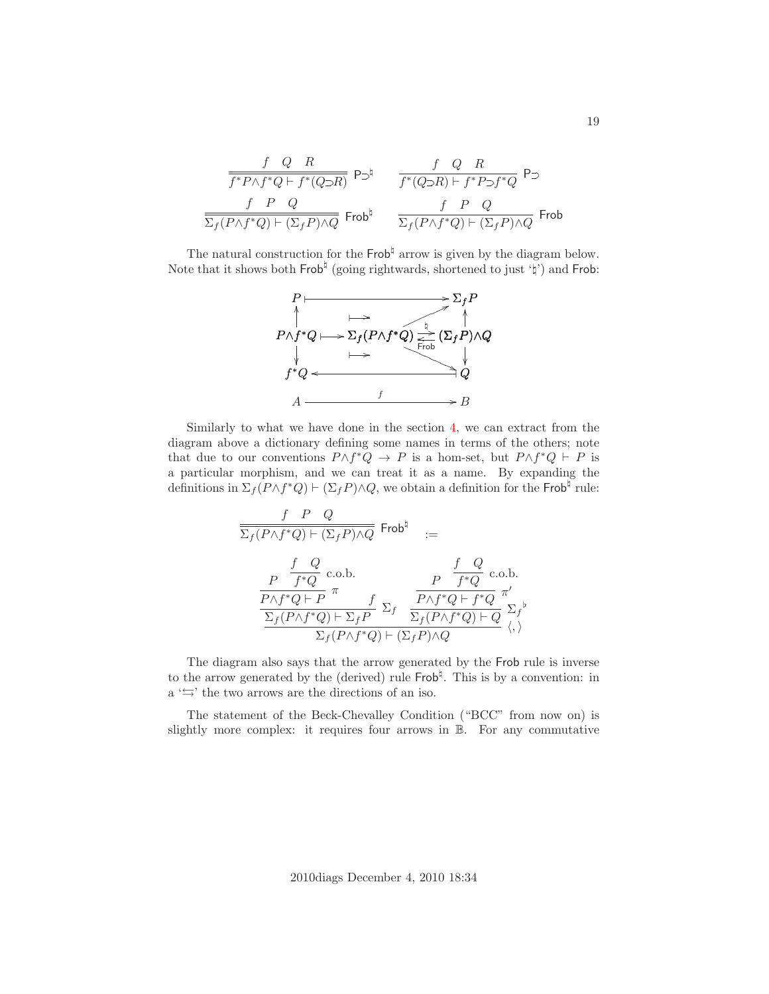$$
\begin{array}{ccccc} &f&Q&R& &f&Q&R\\ \hline f^*P\wedge f^*Q\vdash f^*(Q\supset\!\! R) &\text{$P\supset\!\!^\natural$} & &f^*(Q\supset\!\! R)\vdash f^*P\supset\!\! f^*Q &\text{$P\supset\!\!^\natural$} \\ \hline \\ \frac{f&P&Q& &f&P&Q\\ \hline \Sigma_f(P\wedge f^*Q)\vdash (\Sigma_fP)\wedge Q &\text{Frob}^\natural & & \overline{\Sigma_f(P\wedge f^*Q)\vdash (\Sigma_fP)\wedge Q} &\text{Frob} \end{array}
$$

The natural construction for the  $\mathsf{Frob}^{\natural}$  arrow is given by the diagram below. Note that it shows both  $\mathsf{Frob}^{\natural}$  (going rightwards, shortened to just ' $\natural'$ ) and  $\mathsf{Frob}$ :



Similarly to what we have done in the section [4,](#page-3-0) we can extract from the diagram above a dictionary defining some names in terms of the others; note that due to our conventions  $P \wedge f^*Q \to P$  is a hom-set, but  $P \wedge f^*Q \vdash P$  is a particular morphism, and we can treat it as a name. By expanding the definitions in  $\Sigma_f(P \wedge f^*Q) \vdash (\Sigma_f P) \wedge Q$ , we obtain a definition for the Frob<sup>†</sup> rule:

$$
\begin{array}{ccc} \frac{f & P & Q \\ \hline \Sigma_f (P \wedge f^*Q) \vdash (\Sigma_f P) \wedge Q & \text{Frob}^{\natural} & := \\ & & \frac{P}{f^*Q} \text{ c.o.b.} & P & \frac{f & Q}{f^*Q} \text{ c.o.b.} \\ \frac{P \wedge f^*Q \vdash P}{\Sigma_f (P \wedge f^*Q) \vdash \Sigma_f P} \Sigma_f & \frac{P \wedge f^*Q \vdash f^*Q}{\Sigma_f (P \wedge f^*Q) \vdash Q} \stackrel{\pi'}{\longrightarrow} \\ \frac{F \wedge f^*Q \vdash (\Sigma_f P) \wedge Q}{\Sigma_f (P \wedge f^*Q) \vdash (\Sigma_f P) \wedge Q} & \langle, \rangle \end{array}
$$

The diagram also says that the arrow generated by the Frob rule is inverse to the arrow generated by the (derived) rule  $\mathsf{Frob}^{\natural}$ . This is by a convention: in  $a \leftrightarrow$  the two arrows are the directions of an iso.

The statement of the Beck-Chevalley Condition ("BCC" from now on) is slightly more complex: it requires four arrows in B. For any commutative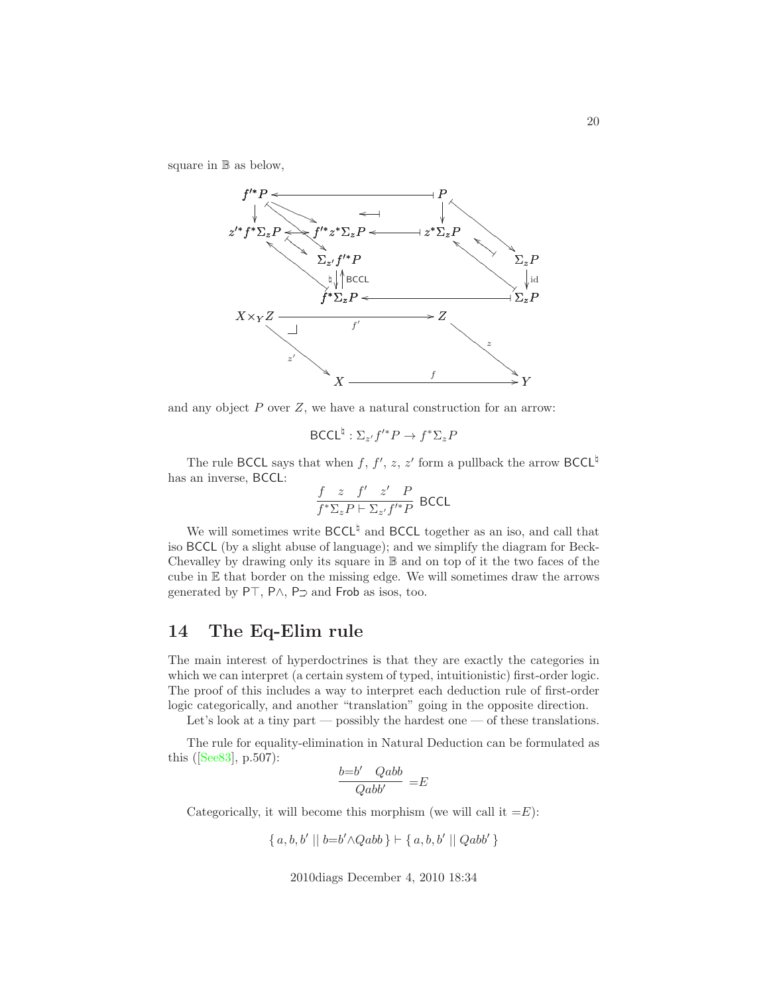square in B as below,



and any object  $P$  over  $Z$ , we have a natural construction for an arrow:

$$
\mathsf{BCCL}^{\natural}: \Sigma_{z'} f'^* P \to f^* \Sigma_z P
$$

The rule BCCL says that when f, f', z, z' form a pullback the arrow BCCL<sup> $\natural$ </sup> has an inverse, BCCL:

$$
\frac{f(z) - f'(z') - P}{f^* \Sigma_z P \vdash \Sigma_{z'} f'^* P}
$$
 BCCL

We will sometimes write  $\mathsf{BCCL}^{\natural}$  and  $\mathsf{BCCL}$  together as an iso, and call that iso BCCL (by a slight abuse of language); and we simplify the diagram for Beck-Chevalley by drawing only its square in B and on top of it the two faces of the cube in E that border on the missing edge. We will sometimes draw the arrows generated by P⊤, P∧, P⊃ and Frob as isos, too.

### <span id="page-19-0"></span>14 The Eq-Elim rule

The main interest of hyperdoctrines is that they are exactly the categories in which we can interpret (a certain system of typed, intuitionistic) first-order logic. The proof of this includes a way to interpret each deduction rule of first-order logic categorically, and another "translation" going in the opposite direction.

Let's look at a tiny part — possibly the hardest one — of these translations.

The rule for equality-elimination in Natural Deduction can be formulated as this ([\[See83\]](#page-29-1), p.507):

$$
\frac{b = b' \quad Qabb}{Qabb'} = E
$$

Categorically, it will become this morphism (we will call it  $=$ E):

$$
\{a, b, b' || b = b' \land Qabb\} \vdash \{a, b, b' || Qabb'\}
$$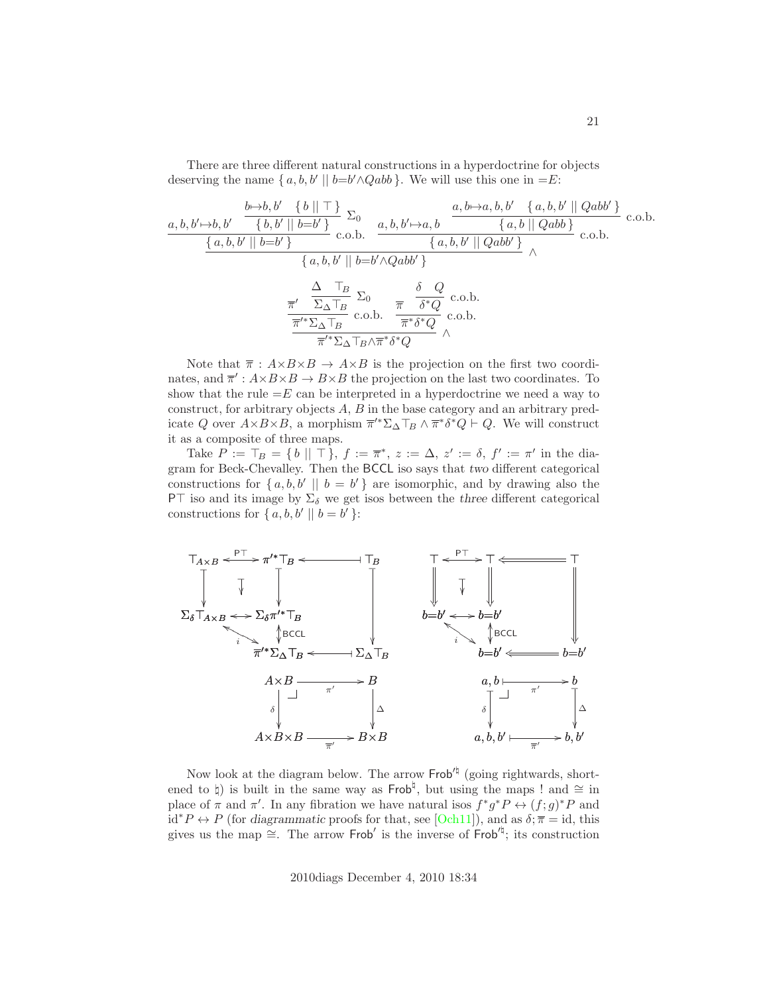There are three different natural constructions in a hyperdoctrine for objects deserving the name  $\{a, b, b' \mid b = b' \land Qabb\}$ . We will use this one in  $=E$ :

$$
\frac{a, b, b' \rightarrow b, b' \quad \{b \mid \top\}}{\{a, b, b' \mid b = b'\}} \sum_{c.o.b.} \frac{a, b, b' \rightarrow a, b, b' \quad \{a, b, b' \mid Qabb'\}}{\{a, b, b' \mid b = b'\}} \quad c.o.b. \quad \frac{a, b, b' \rightarrow a, b}{\{a, b, b' \mid Qabb'\}} \wedge \frac{\{a, b, b' \mid Qabb\}}{\{a, b, b' \mid b = b' \land Qabb'\}} \wedge \frac{\frac{\Delta \quad \top_B}{\{a, b, b' \mid b = b' \land Qabb'\}}}{\frac{\pi'}{\pi'} \sum_{\Delta \top_B} \sum_{c.o.b.} \frac{\pi}{\pi} \frac{\delta \quad Q}{\delta^* Q} \quad c.o.b.}{\frac{\pi''}{\pi} \delta^* Q} \wedge \frac{\delta}{\Delta} \wedge \frac{C}{\Delta} \wedge \frac{\pi}{\pi} \wedge \frac{C}{\Delta} \wedge \frac{\pi}{\pi} \wedge \frac{C}{\Delta} \wedge \frac{\pi}{\Delta} \wedge \frac{C}{\Delta} \wedge \frac{\pi}{\Delta} \wedge \frac{C}{\Delta} \wedge \frac{\pi}{\Delta} \wedge \frac{C}{\Delta} \wedge \frac{\pi}{\Delta} \wedge \frac{C}{\Delta} \wedge \frac{\pi}{\Delta} \wedge \frac{C}{\Delta} \wedge \frac{\pi}{\Delta} \wedge \frac{C}{\Delta} \wedge \frac{\pi}{\Delta} \wedge \frac{C}{\Delta} \wedge \frac{\pi}{\Delta} \wedge \frac{C}{\Delta} \wedge \frac{\pi}{\Delta} \wedge \frac{C}{\Delta} \wedge \frac{\pi}{\Delta} \wedge \frac{C}{\Delta} \wedge \frac{\pi}{\Delta} \wedge \frac{\pi}{\Delta} \wedge \frac{\pi}{\Delta} \wedge \frac{\pi}{\Delta} \wedge \frac{\pi}{\Delta} \wedge \frac{\pi}{\Delta} \wedge \frac{\pi}{\Delta} \wedge \frac{\pi}{\Delta} \wedge \frac{\pi}{\Delta} \wedge \frac{\pi}{\Delta} \wedge \frac{\pi}{\Delta} \wedge \frac{\pi}{\Delta} \wedge \frac{\pi}{\Delta} \wedge \frac{\pi}{\Delta} \wedge \frac{\pi}{\Delta} \wedge \frac{\pi}{\Delta} \wedge \frac{\pi}{\Delta} \wedge \frac{\pi}{\
$$

Note that  $\bar{\pi}: A \times B \times B \rightarrow A \times B$  is the projection on the first two coordinates, and  $\overline{\pi}'$ :  $A \times B \times B \rightarrow B \times B$  the projection on the last two coordinates. To show that the rule  $=E$  can be interpreted in a hyperdoctrine we need a way to construct, for arbitrary objects A, B in the base category and an arbitrary predicate Q over  $A \times B \times B$ , a morphism  $\overline{\pi}^{\prime*} \Sigma_{\Delta} \top_B \wedge \overline{\pi}^* \delta^* Q \vdash Q$ . We will construct it as a composite of three maps.

Take  $P := \top_B = \{ b \mid \mid \top \}, f := \overline{\pi}^*, z := \Delta, z' := \delta, f' := \pi'$  in the diagram for Beck-Chevalley. Then the BCCL iso says that *two* different categorical constructions for  $\{a, b, b' \mid b = b'\}$  are isomorphic, and by drawing also the P⊤ iso and its image by  $\Sigma_{\delta}$  we get isos between the *three* different categorical constructions for  $\{a, b, b' \mid b = b'\}$ :



Now look at the diagram below. The arrow Frob<sup>'h</sup> (going rightwards, shortened to  $\natural$ ) is built in the same way as Frob<sup> $\natural$ </sup>, but using the maps ! and ≃ in place of  $\pi$  and  $\pi'$ . In any fibration we have natural isos  $f^*g^*P \leftrightarrow (f;g)^*P$  and id<sup>\*</sup> $P \leftrightarrow P$  (for *diagrammatic* proofs for that, see [\[Och11\]](#page-28-2)), and as  $\delta$ ;  $\bar{\pi} = id$ , this gives us the map  $\cong$ . The arrow Frob' is the inverse of Frob<sup>'†</sup>; its construction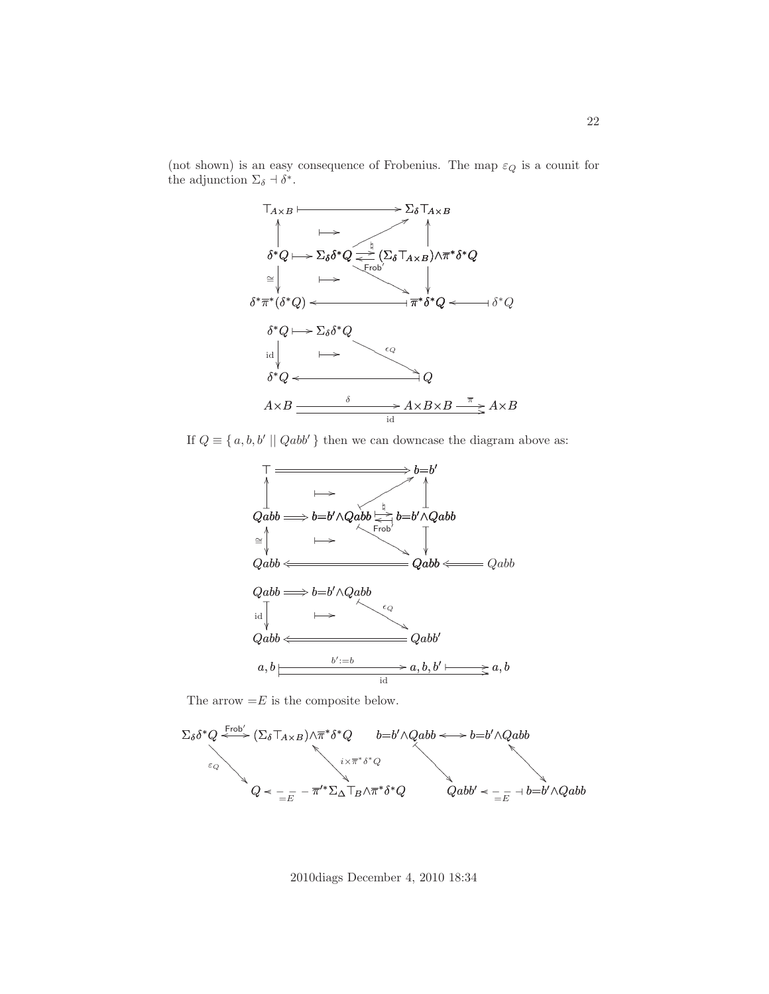

(not shown) is an easy consequence of Frobenius. The map  $\varepsilon_Q$  is a counit for the adjunction  $\Sigma_{\delta} \dashv \delta^*$ .

If  $Q \equiv \{a, b, b' \mid Qabb'\}$  then we can downcase the diagram above as:



The arrow  $=E$  is the composite below.

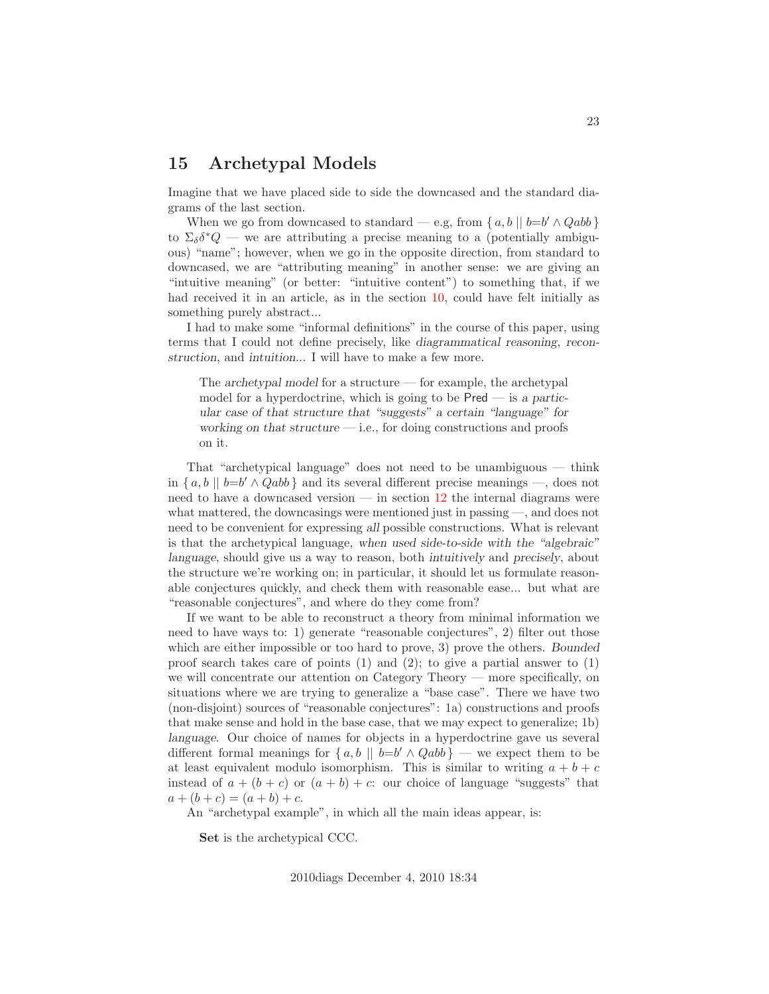### <span id="page-22-0"></span>15 Archetypal Models

Imagine that we have placed side to side the downcased and the standard diagrams of the last section.

When we go from downcased to standard — e.g, from  $\{a, b \mid b=b' \land Qabb\}$ to  $\Sigma_{\delta} \delta^* Q$  — we are attributing a precise meaning to a (potentially ambiguous) "name"; however, when we go in the opposite direction, from standard to downcased, we are "attributing meaning" in another sense: we are giving an "intuitive meaning" (or better: "intuitive content") to something that, if we had received it in an article, as in the section [10,](#page-11-0) could have felt initially as something purely abstract...

I had to make some "informal definitions" in the course of this paper, using terms that I could not define precisely, like *diagrammatical reasoning*, *reconstruction*, and *intuition*... I will have to make a few more.

The *archetypal model* for a structure — for example, the archetypal model for a hyperdoctrine, which is going to be Pred — is *a particular case of that structure that "suggests" a certain "language" for working on that structure* — i.e., for doing constructions and proofs on it.

That "archetypical language" does not need to be unambiguous — think in  $\{a, b \mid b=b' \wedge Qabb\}$  and its several different precise meanings —, does not need to have a downcased version  $\frac{12}{12}$  $\frac{12}{12}$  $\frac{12}{12}$  the internal diagrams were what mattered, the downcasings were mentioned just in passing —, and does not need to be convenient for expressing *all* possible constructions. What is relevant is that the archetypical language, *when used side-to-side with the "algebraic" language*, should give us a way to reason, both *intuitively* and *precisely*, about the structure we're working on; in particular, it should let us formulate reasonable conjectures quickly, and check them with reasonable ease... but what are "reasonable conjectures", and where do they come from?

If we want to be able to reconstruct a theory from minimal information we need to have ways to: 1) generate "reasonable conjectures", 2) filter out those which are either impossible or too hard to prove, 3) prove the others. *Bounded* proof search takes care of points (1) and (2); to give a partial answer to (1) we will concentrate our attention on Category Theory — more specifically, on situations where we are trying to generalize a "base case". There we have two (non-disjoint) sources of "reasonable conjectures": 1a) constructions and proofs that make sense and hold in the base case, that we may expect to generalize; 1b) *language*. Our choice of names for objects in a hyperdoctrine gave us several different formal meanings for  $\{a, b \mid b = b' \land Qabb\}$  — we expect them to be at least equivalent modulo isomorphism. This is similar to writing  $a + b + c$ instead of  $a + (b + c)$  or  $(a + b) + c$ : our choice of language "suggests" that  $a + (b + c) = (a + b) + c.$ 

An "archetypal example", in which all the main ideas appear, is:

Set is the archetypical CCC.

23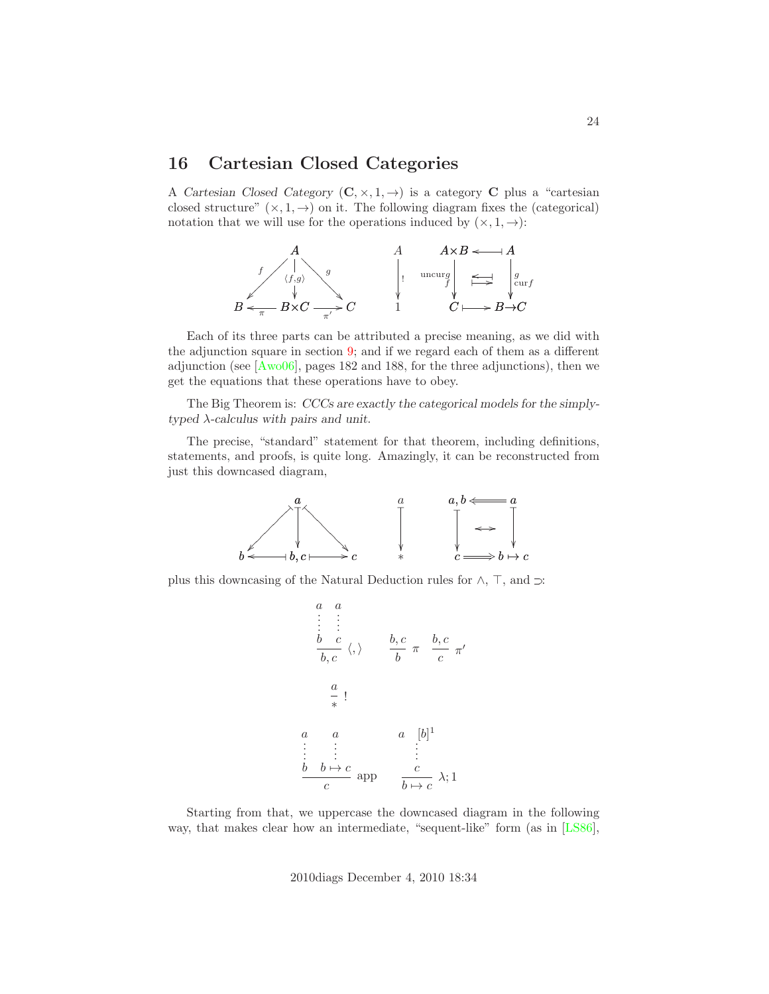### 16 Cartesian Closed Categories

A *Cartesian Closed Category*  $(C, \times, 1, \rightarrow)$  is a category **C** plus a "cartesian closed structure"  $(x, 1, \rightarrow)$  on it. The following diagram fixes the (categorical) notation that we will use for the operations induced by  $(x, 1, \rightarrow)$ :



Each of its three parts can be attributed a precise meaning, as we did with the adjunction square in section [9;](#page-9-0) and if we regard each of them as a different adjunction (see [\[Awo06\]](#page-27-1), pages 182 and 188, for the three adjunctions), then we get the equations that these operations have to obey.

The Big Theorem is: *CCCs are exactly the categorical models for the simplytyped* λ*-calculus with pairs and unit*.

The precise, "standard" statement for that theorem, including definitions, statements, and proofs, is quite long. Amazingly, it can be reconstructed from just this downcased diagram,



plus this downcasing of the Natural Deduction rules for  $\land,$   $\top,$  and  $\mathbin{\supset}$ 

$$
\begin{array}{ccc}\n a & a \\
 \vdots & \vdots \\
 b & c \\
 \hline\n b, c & \langle,\rangle\n\end{array}\n\qquad\n\begin{array}{ccc}\n b, c & \pi & b, c \\
 \hline\n b & \pi & c \\
 \hline\n c & \pi\n\end{array}\n\qquad\n\begin{array}{ccc}\n a \\
 \downarrow & \downarrow \\
 \hline\n c & \lambda; 1\n\end{array}
$$

Starting from that, we uppercase the downcased diagram in the following way, that makes clear how an intermediate, "sequent-like" form (as in [\[LS86\]](#page-28-9),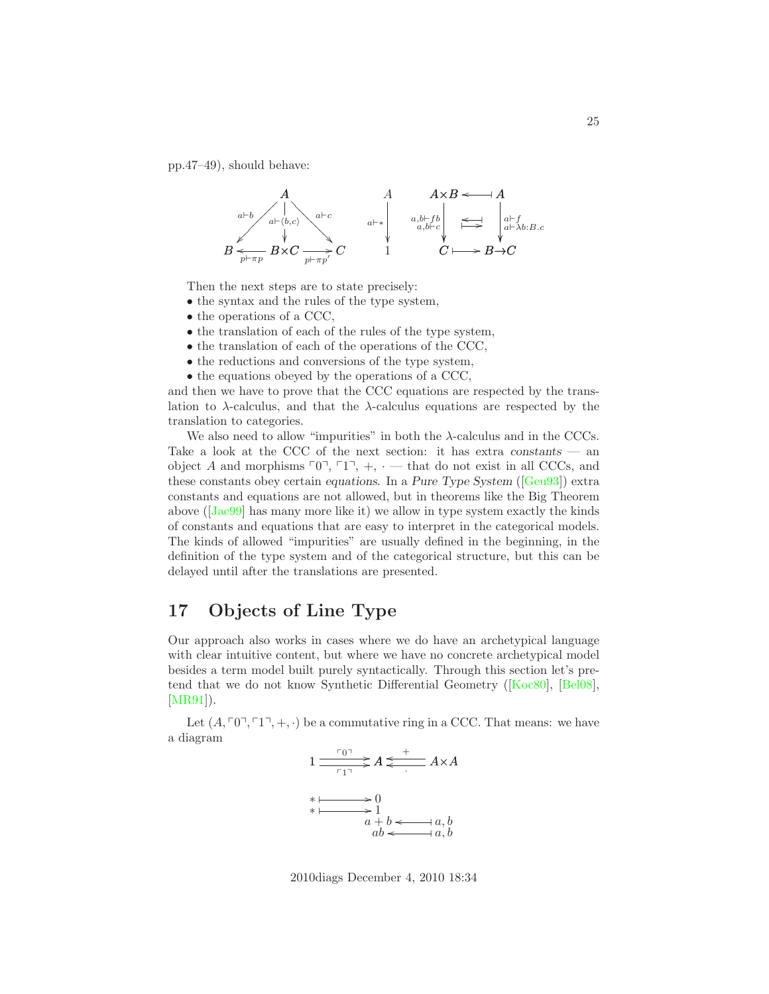pp.47–49), should behave:



Then the next steps are to state precisely:

- the syntax and the rules of the type system,
- the operations of a CCC,
- the translation of each of the rules of the type system,
- the translation of each of the operations of the CCC,
- the reductions and conversions of the type system,
- the equations obeyed by the operations of a CCC,

and then we have to prove that the CCC equations are respected by the translation to  $\lambda$ -calculus, and that the  $\lambda$ -calculus equations are respected by the translation to categories.

We also need to allow "impurities" in both the  $\lambda$ -calculus and in the CCCs. Take a look at the CCC of the next section: it has extra *constants* — an object A and morphisms  $\lceil 0 \rceil$ ,  $\lceil 1 \rceil$ ,  $+$ ,  $\cdot$  — that do not exist in all CCCs, and these constants obey certain *equations*. In a *Pure Type System* ([\[Geu93\]](#page-28-10)) extra constants and equations are not allowed, but in theorems like the Big Theorem above ([\[Jac99\]](#page-28-5) has many more like it) we allow in type system exactly the kinds of constants and equations that are easy to interpret in the categorical models. The kinds of allowed "impurities" are usually defined in the beginning, in the definition of the type system and of the categorical structure, but this can be delayed until after the translations are presented.

### 17 Objects of Line Type

Our approach also works in cases where we do have an archetypical language with clear intuitive content, but where we have no concrete archetypical model besides a term model built purely syntactically. Through this section let's pretend that we do not know Synthetic Differential Geometry ([\[Koc80\]](#page-28-11), [\[Bel08\]](#page-27-2), [\[MR91\]](#page-28-12)).

Let  $(A, \lceil 0 \rceil, \lceil 1 \rceil, +, \cdot)$  be a commutative ring in a CCC. That means: we have a diagram



2010diags December 4, 2010 18:34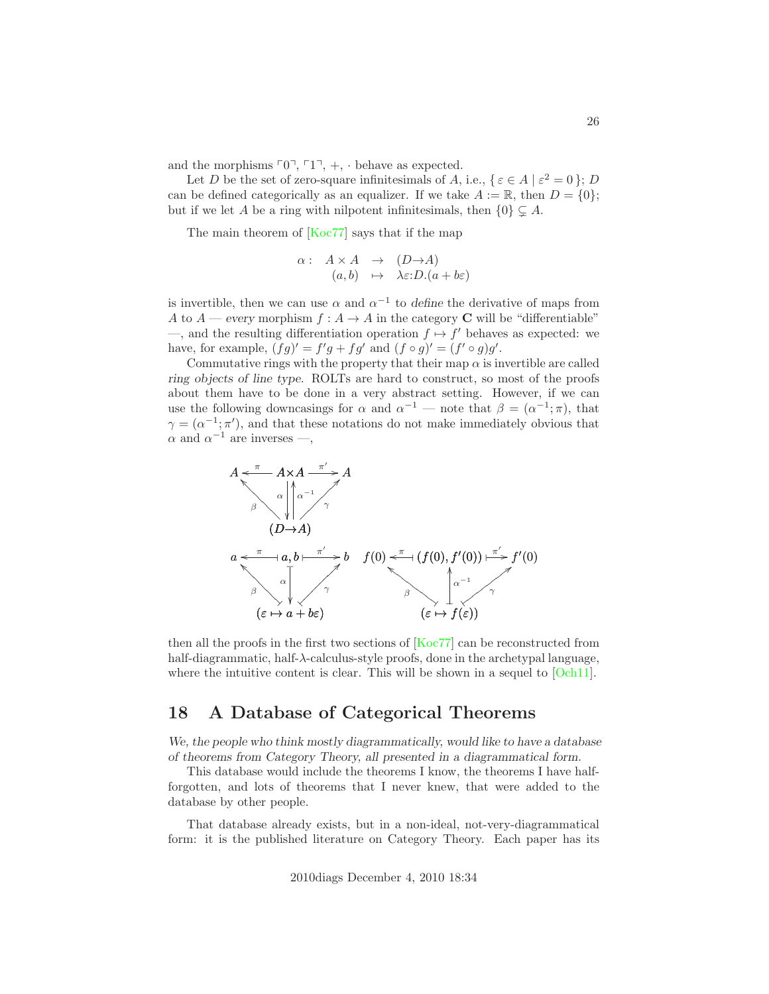and the morphisms  $\lceil 0 \rceil$ ,  $\lceil 1 \rceil$ , +, · behave as expected.

Let D be the set of zero-square infinitesimals of A, i.e.,  $\{\varepsilon \in A \mid \varepsilon^2 = 0\}; D$ can be defined categorically as an equalizer. If we take  $A := \mathbb{R}$ , then  $D = \{0\};$ but if we let A be a ring with nilpotent infinitesimals, then  $\{0\} \subsetneq A$ .

The main theorem of [\[Koc77\]](#page-28-13) says that if the map

$$
\begin{array}{rcl}\n\alpha: & A \times A & \to & (D \to A) \\
(a, b) & \mapsto & \lambda \varepsilon : D.(a + b\varepsilon)\n\end{array}
$$

is invertible, then we can use  $\alpha$  and  $\alpha^{-1}$  to *define* the derivative of maps from A to  $A$  — *every* morphism  $f : A \to A$  in the category **C** will be "differentiable"  $\rightarrow$ , and the resulting differentiation operation  $f \mapsto f'$  behaves as expected: we have, for example,  $(fg)' = f'g + fg'$  and  $(f \circ g)' = (f' \circ g)g'$ .

Commutative rings with the property that their map  $\alpha$  is invertible are called *ring objects of line type*. ROLTs are hard to construct, so most of the proofs about them have to be done in a very abstract setting. However, if we can use the following downcasings for  $\alpha$  and  $\alpha^{-1}$  — note that  $\beta = (\alpha^{-1}; \pi)$ , that  $\gamma = (\alpha^{-1}; \pi')$ , and that these notations do not make immediately obvious that  $\alpha$  and  $\alpha^{-1}$  are inverses —,



then all the proofs in the first two sections of [\[Koc77\]](#page-28-13) can be reconstructed from half-diagrammatic, half-λ-calculus-style proofs, done in the archetypal language, where the intuitive content is clear. This will be shown in a sequel to [\[Och11\]](#page-28-2).

### 18 A Database of Categorical Theorems

*We, the people who think mostly diagrammatically, would like to have a database of theorems from Category Theory, all presented in a diagrammatical form.*

This database would include the theorems I know, the theorems I have halfforgotten, and lots of theorems that I never knew, that were added to the database by other people.

That database already exists, but in a non-ideal, not-very-diagrammatical form: it is the published literature on Category Theory. Each paper has its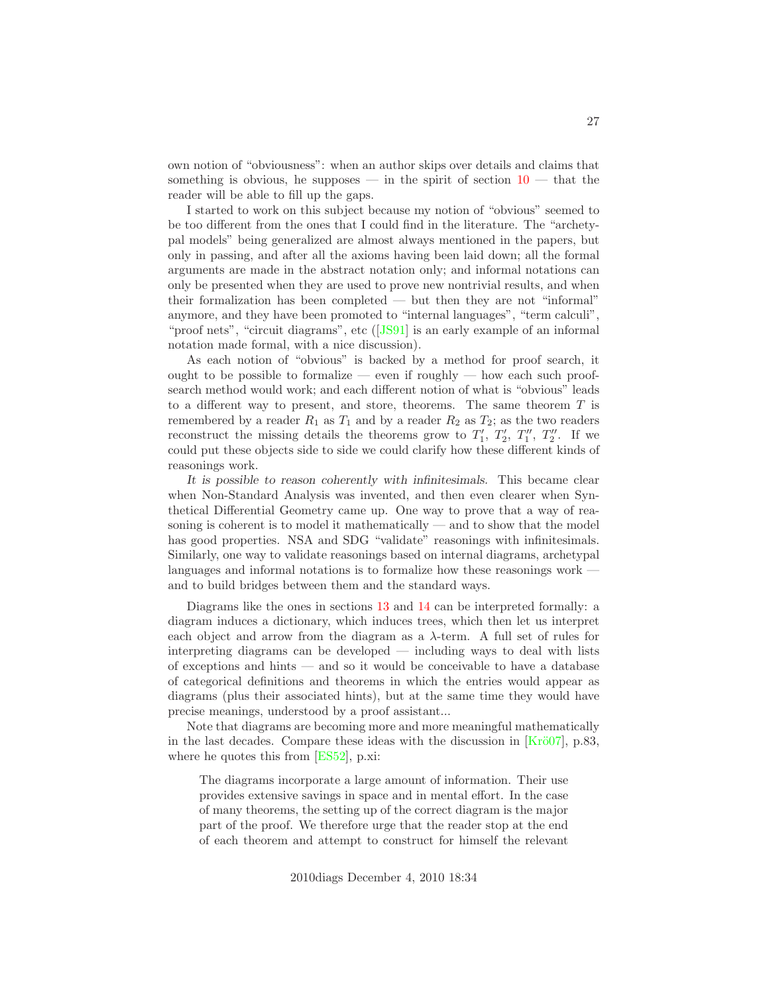own notion of "obviousness": when an author skips over details and claims that something is obvious, he supposes — in the spirit of section  $10$  — that the reader will be able to fill up the gaps.

I started to work on this subject because my notion of "obvious" seemed to be too different from the ones that I could find in the literature. The "archetypal models" being generalized are almost always mentioned in the papers, but only in passing, and after all the axioms having been laid down; all the formal arguments are made in the abstract notation only; and informal notations can only be presented when they are used to prove new nontrivial results, and when their formalization has been completed — but then they are not "informal" anymore, and they have been promoted to "internal languages", "term calculi", "proof nets", "circuit diagrams", etc ([\[JS91\]](#page-28-14) is an early example of an informal notation made formal, with a nice discussion).

As each notion of "obvious" is backed by a method for proof search, it ought to be possible to formalize — even if roughly — how each such proofsearch method would work; and each different notion of what is "obvious" leads to a different way to present, and store, theorems. The same theorem  $T$  is remembered by a reader  $R_1$  as  $T_1$  and by a reader  $R_2$  as  $T_2$ ; as the two readers reconstruct the missing details the theorems grow to  $T_1'$ ,  $T_2'$ ,  $T_1''$ ,  $T_2''$ . If we could put these objects side to side we could clarify how these different kinds of reasonings work.

*It is possible to reason coherently with infinitesimals.* This became clear when Non-Standard Analysis was invented, and then even clearer when Synthetical Differential Geometry came up. One way to prove that a way of reasoning is coherent is to model it mathematically — and to show that the model has good properties. NSA and SDG "validate" reasonings with infinitesimals. Similarly, one way to validate reasonings based on internal diagrams, archetypal languages and informal notations is to formalize how these reasonings work and to build bridges between them and the standard ways.

Diagrams like the ones in sections [13](#page-17-0) and [14](#page-19-0) can be interpreted formally: a diagram induces a dictionary, which induces trees, which then let us interpret each object and arrow from the diagram as a  $\lambda$ -term. A full set of rules for interpreting diagrams can be developed — including ways to deal with lists of exceptions and hints — and so it would be conceivable to have a database of categorical definitions and theorems in which the entries would appear as diagrams (plus their associated hints), but at the same time they would have precise meanings, understood by a proof assistant...

Note that diagrams are becoming more and more meaningful mathematically in the last decades. Compare these ideas with the discussion in  $[Kr\ddot{o}07]$ , p.83, where he quotes this from [\[ES52\]](#page-28-15), p.xi:

The diagrams incorporate a large amount of information. Their use provides extensive savings in space and in mental effort. In the case of many theorems, the setting up of the correct diagram is the major part of the proof. We therefore urge that the reader stop at the end of each theorem and attempt to construct for himself the relevant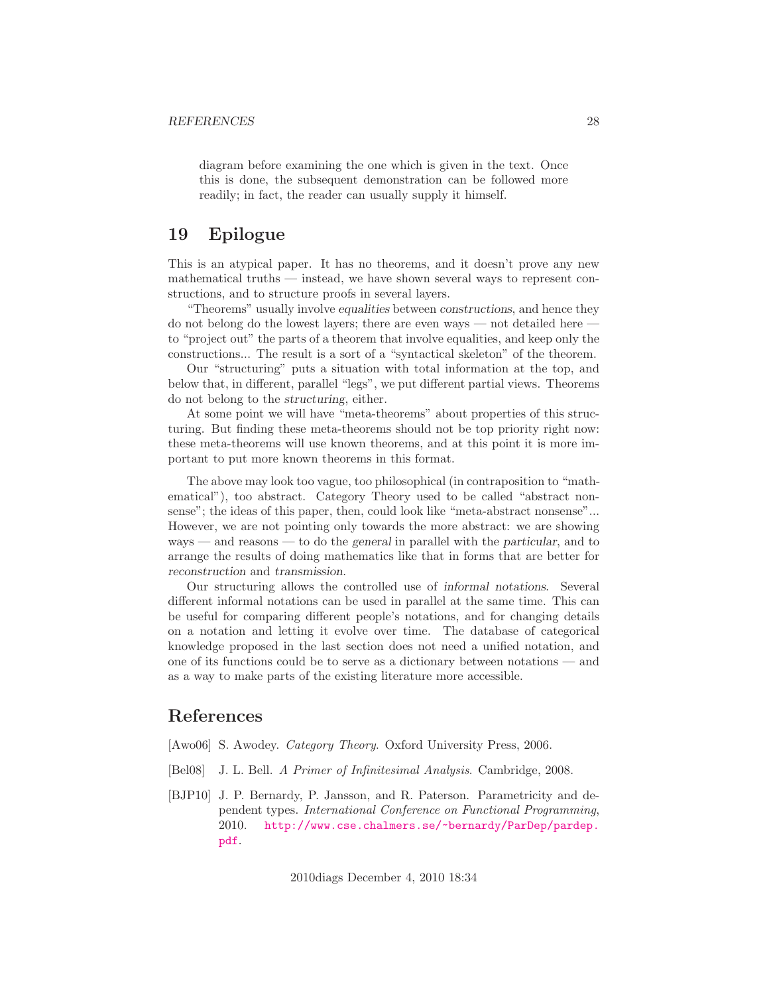diagram before examining the one which is given in the text. Once this is done, the subsequent demonstration can be followed more readily; in fact, the reader can usually supply it himself.

### 19 Epilogue

This is an atypical paper. It has no theorems, and it doesn't prove any new mathematical truths — instead, we have shown several ways to represent constructions, and to structure proofs in several layers.

"Theorems" usually involve *equalities* between *constructions*, and hence they do not belong do the lowest layers; there are even ways — not detailed here to "project out" the parts of a theorem that involve equalities, and keep only the constructions... The result is a sort of a "syntactical skeleton" of the theorem.

Our "structuring" puts a situation with total information at the top, and below that, in different, parallel "legs", we put different partial views. Theorems do not belong to the *structuring*, either.

At some point we will have "meta-theorems" about properties of this structuring. But finding these meta-theorems should not be top priority right now: these meta-theorems will use known theorems, and at this point it is more important to put more known theorems in this format.

The above may look too vague, too philosophical (in contraposition to "mathematical"), too abstract. Category Theory used to be called "abstract nonsense"; the ideas of this paper, then, could look like "meta-abstract nonsense"... However, we are not pointing only towards the more abstract: we are showing ways — and reasons — to do the *general* in parallel with the *particular*, and to arrange the results of doing mathematics like that in forms that are better for *reconstruction* and *transmission*.

Our structuring allows the controlled use of *informal notations*. Several different informal notations can be used in parallel at the same time. This can be useful for comparing different people's notations, and for changing details on a notation and letting it evolve over time. The database of categorical knowledge proposed in the last section does not need a unified notation, and one of its functions could be to serve as a dictionary between notations — and as a way to make parts of the existing literature more accessible.

### References

- <span id="page-27-1"></span>[Awo06] S. Awodey. *Category Theory*. Oxford University Press, 2006.
- <span id="page-27-2"></span>[Bel08] J. L. Bell. A Primer of Infinitesimal Analysis. Cambridge, 2008.
- <span id="page-27-0"></span>[BJP10] J. P. Bernardy, P. Jansson, and R. Paterson. Parametricity and dependent types. International Conference on Functional Programming, 2010. [http://www.cse.chalmers.se/~bernardy/ParDep/pardep.](http://www.cse.chalmers.se/~bernardy/ParDep/pardep.pdf) [pdf](http://www.cse.chalmers.se/~bernardy/ParDep/pardep.pdf).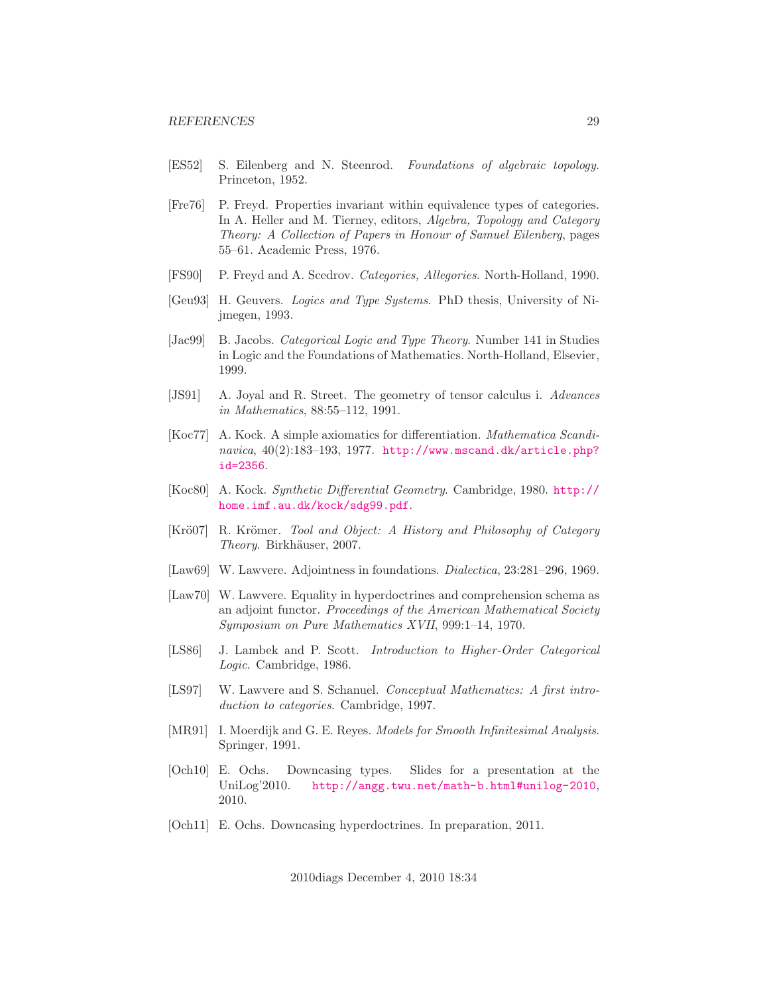- <span id="page-28-15"></span>[ES52] S. Eilenberg and N. Steenrod. Foundations of algebraic topology. Princeton, 1952.
- <span id="page-28-7"></span>[Fre76] P. Freyd. Properties invariant within equivalence types of categories. In A. Heller and M. Tierney, editors, Algebra, Topology and Category Theory: A Collection of Papers in Honour of Samuel Eilenberg, pages 55–61. Academic Press, 1976.
- <span id="page-28-8"></span>[FS90] P. Freyd and A. Scedrov. Categories, Allegories. North-Holland, 1990.
- <span id="page-28-10"></span>[Geu93] H. Geuvers. Logics and Type Systems. PhD thesis, University of Nijmegen, 1993.
- <span id="page-28-5"></span>[Jac99] B. Jacobs. *Categorical Logic and Type Theory*. Number 141 in Studies in Logic and the Foundations of Mathematics. North-Holland, Elsevier, 1999.
- <span id="page-28-14"></span>[JS91] A. Joyal and R. Street. The geometry of tensor calculus i. Advances in Mathematics, 88:55–112, 1991.
- <span id="page-28-13"></span>[Koc77] A. Kock. A simple axiomatics for differentiation. Mathematica Scandinavica,  $40(2):183-193$ , 1977. [http://www.mscand.dk/article.php?](http://www.mscand.dk/article.php?id=2356) [id=2356](http://www.mscand.dk/article.php?id=2356).
- <span id="page-28-11"></span>[Koc80] A. Kock. Synthetic Differential Geometry. Cambridge, 1980. [http://](http://home.imf.au.dk/kock/sdg99.pdf) [home.imf.au.dk/kock/sdg99.pdf](http://home.imf.au.dk/kock/sdg99.pdf).
- <span id="page-28-1"></span>[Krö07] R. Krömer. Tool and Object: A History and Philosophy of Category Theory. Birkhäuser, 2007.
- <span id="page-28-3"></span>[Law69] W. Lawvere. Adjointness in foundations. Dialectica, 23:281–296, 1969.
- <span id="page-28-4"></span>[Law70] W. Lawvere. Equality in hyperdoctrines and comprehension schema as an adjoint functor. Proceedings of the American Mathematical Society Symposium on Pure Mathematics XVII, 999:1–14, 1970.
- <span id="page-28-9"></span>[LS86] J. Lambek and P. Scott. Introduction to Higher-Order Categorical Logic. Cambridge, 1986.
- <span id="page-28-0"></span>[LS97] W. Lawvere and S. Schanuel. Conceptual Mathematics: A first introduction to categories. Cambridge, 1997.
- <span id="page-28-12"></span>[MR91] I. Moerdijk and G. E. Reyes. Models for Smooth Infinitesimal Analysis. Springer, 1991.
- <span id="page-28-6"></span>[Och10] E. Ochs. Downcasing types. Slides for a presentation at the UniLog'2010. <http://angg.twu.net/math-b.html#unilog-2010>, 2010.
- <span id="page-28-2"></span>[Och11] E. Ochs. Downcasing hyperdoctrines. In preparation, 2011.